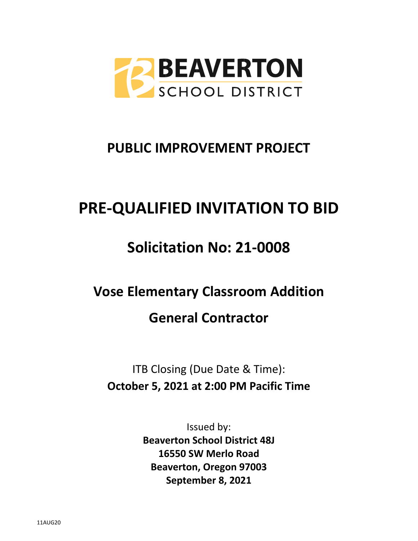

# **PUBLIC IMPROVEMENT PROJECT**

# **PRE-QUALIFIED INVITATION TO BID**

# **Solicitation No: 21-0008**

# **Vose Elementary Classroom Addition General Contractor**

ITB Closing (Due Date & Time): **October 5, 2021 at 2:00 PM Pacific Time**

> Issued by: **Beaverton School District 48J 16550 SW Merlo Road Beaverton, Oregon 97003 September 8, 2021**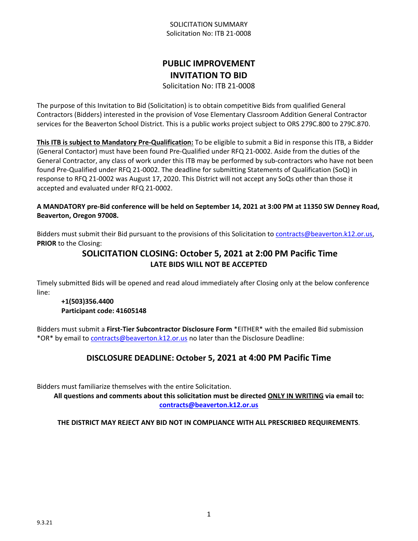# **PUBLIC IMPROVEMENT INVITATION TO BID**

Solicitation No: ITB 21-0008

The purpose of this Invitation to Bid (Solicitation) is to obtain competitive Bids from qualified General Contractors (Bidders) interested in the provision of Vose Elementary Classroom Addition General Contractor services for the Beaverton School District. This is a public works project subject to ORS 279C.800 to 279C.870.

**This ITB is subject to Mandatory Pre-Qualification:** To be eligible to submit a Bid in response this ITB, a Bidder (General Contactor) must have been found Pre-Qualified under RFQ 21-0002. Aside from the duties of the General Contractor, any class of work under this ITB may be performed by sub-contractors who have not been found Pre-Qualified under RFQ 21-0002. The deadline for submitting Statements of Qualification (SoQ) in response to RFQ 21-0002 was August 17, 2020. This District will not accept any SoQs other than those it accepted and evaluated under RFQ 21-0002.

#### **A MANDATORY pre-Bid conference will be held on September 14, 2021 at 3:00 PM at 11350 SW Denney Road, Beaverton, Oregon 97008.**

Bidders must submit their Bid pursuant to the provisions of this Solicitation to [contracts@beaverton.k12.or.us,](mailto:contracts@beaverton.k12.or.us) **PRIOR** to the Closing:

# **SOLICITATION CLOSING: October 5, 2021 at 2:00 PM Pacific Time LATE BIDS WILL NOT BE ACCEPTED**

Timely submitted Bids will be opened and read aloud immediately after Closing only at the below conference line:

#### **+1(503)356.4400 Participant code: 41605148**

Bidders must submit a **First-Tier Subcontractor Disclosure Form** \*EITHER\* with the emailed Bid submission \*OR\* by email to [contracts@beaverton.k12.or.us](mailto:contracts@beaverton.k12.or.us) no later than the Disclosure Deadline:

# **DISCLOSURE DEADLINE: October 5, 2021 at 4:00 PM Pacific Time**

Bidders must familiarize themselves with the entire Solicitation.

**All questions and comments about this solicitation must be directed ONLY IN WRITING via email to: [contracts@beaverton.k12.or.us](mailto:contracts@beaverton.k12.or.us)**

**THE DISTRICT MAY REJECT ANY BID NOT IN COMPLIANCE WITH ALL PRESCRIBED REQUIREMENTS**.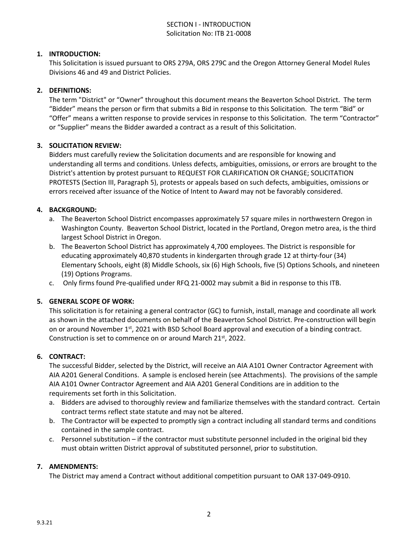#### SECTION I - INTRODUCTION Solicitation No: ITB 21-0008

#### **1. INTRODUCTION:**

This Solicitation is issued pursuant to ORS 279A, ORS 279C and the Oregon Attorney General Model Rules Divisions 46 and 49 and District Policies.

#### **2. DEFINITIONS:**

The term "District" or "Owner" throughout this document means the Beaverton School District. The term "Bidder" means the person or firm that submits a Bid in response to this Solicitation. The term "Bid" or "Offer" means a written response to provide services in response to this Solicitation. The term "Contractor" or "Supplier" means the Bidder awarded a contract as a result of this Solicitation.

#### **3. SOLICITATION REVIEW:**

Bidders must carefully review the Solicitation documents and are responsible for knowing and understanding all terms and conditions. Unless defects, ambiguities, omissions, or errors are brought to the District's attention by protest pursuant to REQUEST FOR CLARIFICATION OR CHANGE; SOLICITATION PROTESTS (Section III, Paragraph 5), protests or appeals based on such defects, ambiguities, omissions or errors received after issuance of the Notice of Intent to Award may not be favorably considered.

#### **4. BACKGROUND:**

- a. The Beaverton School District encompasses approximately 57 square miles in northwestern Oregon in Washington County. Beaverton School District, located in the Portland, Oregon metro area, is the third largest School District in Oregon.
- b. The Beaverton School District has approximately 4,700 employees. The District is responsible for educating approximately 40,870 students in kindergarten through grade 12 at thirty-four (34) Elementary Schools, eight (8) Middle Schools, six (6) High Schools, five (5) Options Schools, and nineteen (19) Options Programs.
- c. Only firms found Pre-qualified under RFQ 21-0002 may submit a Bid in response to this ITB.

#### **5. GENERAL SCOPE OF WORK:**

This solicitation is for retaining a general contractor (GC) to furnish, install, manage and coordinate all work as shown in the attached documents on behalf of the Beaverton School District. Pre-construction will begin on or around November 1st, 2021 with BSD School Board approval and execution of a binding contract. Construction is set to commence on or around March 21st, 2022.

#### **6. CONTRACT:**

The successful Bidder, selected by the District, will receive an AIA A101 Owner Contractor Agreement with AIA A201 General Conditions. A sample is enclosed herein (see Attachments). The provisions of the sample AIA A101 Owner Contractor Agreement and AIA A201 General Conditions are in addition to the requirements set forth in this Solicitation.

- a. Bidders are advised to thoroughly review and familiarize themselves with the standard contract. Certain contract terms reflect state statute and may not be altered.
- b. The Contractor will be expected to promptly sign a contract including all standard terms and conditions contained in the sample contract.
- c. Personnel substitution if the contractor must substitute personnel included in the original bid they must obtain written District approval of substituted personnel, prior to substitution.

#### **7. AMENDMENTS:**

The District may amend a Contract without additional competition pursuant to OAR 137-049-0910.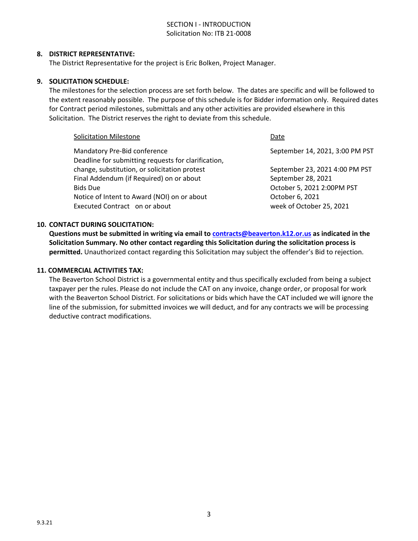#### SECTION I - INTRODUCTION Solicitation No: ITB 21-0008

#### **8. DISTRICT REPRESENTATIVE:**

The District Representative for the project is Eric Bolken, Project Manager.

#### **9. SOLICITATION SCHEDULE:**

The milestones for the selection process are set forth below. The dates are specific and will be followed to the extent reasonably possible. The purpose of this schedule is for Bidder information only. Required dates for Contract period milestones, submittals and any other activities are provided elsewhere in this Solicitation. The District reserves the right to deviate from this schedule.

| <b>Solicitation Milestone</b>                       | Date                            |
|-----------------------------------------------------|---------------------------------|
| Mandatory Pre-Bid conference                        | September 14, 2021, 3:00 PM PST |
| Deadline for submitting requests for clarification, |                                 |
| change, substitution, or solicitation protest       | September 23, 2021 4:00 PM PST  |
| Final Addendum (if Required) on or about            | September 28, 2021              |
| <b>Bids Due</b>                                     | October 5, 2021 2:00PM PST      |
| Notice of Intent to Award (NOI) on or about         | October 6, 2021                 |
| Executed Contract on or about                       | week of October 25, 2021        |
|                                                     |                                 |

#### **10. CONTACT DURING SOLICITATION:**

**Questions must be submitted in writing via email to [contracts@beaverton.k12.or.us](mailto:contracts@beaverton.k12.or.us) as indicated in the Solicitation Summary. No other contact regarding this Solicitation during the solicitation process is permitted.** Unauthorized contact regarding this Solicitation may subject the offender's Bid to rejection.

#### **11. COMMERCIAL ACTIVITIES TAX:**

The Beaverton School District is a governmental entity and thus specifically excluded from being a subject taxpayer per the rules. Please do not include the CAT on any invoice, change order, or proposal for work with the Beaverton School District. For solicitations or bids which have the CAT included we will ignore the line of the submission, for submitted invoices we will deduct, and for any contracts we will be processing deductive contract modifications.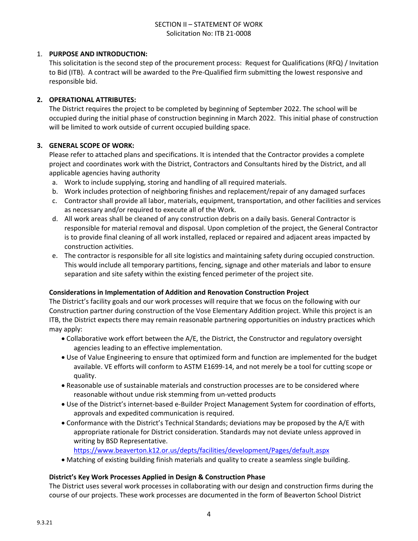#### SECTION II – STATEMENT OF WORK Solicitation No: ITB 21-0008

#### 1. **PURPOSE AND INTRODUCTION:**

This solicitation is the second step of the procurement process: Request for Qualifications (RFQ) / Invitation to Bid (ITB). A contract will be awarded to the Pre-Qualified firm submitting the lowest responsive and responsible bid.

#### **2. OPERATIONAL ATTRIBUTES:**

The District requires the project to be completed by beginning of September 2022. The school will be occupied during the initial phase of construction beginning in March 2022. This initial phase of construction will be limited to work outside of current occupied building space.

#### **3. GENERAL SCOPE OF WORK:**

Please refer to attached plans and specifications. It is intended that the Contractor provides a complete project and coordinates work with the District, Contractors and Consultants hired by the District, and all applicable agencies having authority

- a. Work to include supplying, storing and handling of all required materials.
- b. Work includes protection of neighboring finishes and replacement/repair of any damaged surfaces
- c. Contractor shall provide all labor, materials, equipment, transportation, and other facilities and services as necessary and/or required to execute all of the Work.
- d. All work areas shall be cleaned of any construction debris on a daily basis. General Contractor is responsible for material removal and disposal. Upon completion of the project, the General Contractor is to provide final cleaning of all work installed, replaced or repaired and adjacent areas impacted by construction activities.
- e. The contractor is responsible for all site logistics and maintaining safety during occupied construction. This would include all temporary partitions, fencing, signage and other materials and labor to ensure separation and site safety within the existing fenced perimeter of the project site.

#### **Considerations in Implementation of Addition and Renovation Construction Project**

The District's facility goals and our work processes will require that we focus on the following with our Construction partner during construction of the Vose Elementary Addition project. While this project is an ITB, the District expects there may remain reasonable partnering opportunities on industry practices which may apply:

- Collaborative work effort between the A/E, the District, the Constructor and regulatory oversight agencies leading to an effective implementation.
- Use of Value Engineering to ensure that optimized form and function are implemented for the budget available. VE efforts will conform to ASTM E1699-14, and not merely be a tool for cutting scope or quality.
- Reasonable use of sustainable materials and construction processes are to be considered where reasonable without undue risk stemming from un-vetted products
- Use of the District's internet-based e-Builder Project Management System for coordination of efforts, approvals and expedited communication is required.
- Conformance with the District's Technical Standards; deviations may be proposed by the A/E with appropriate rationale for District consideration. Standards may not deviate unless approved in writing by BSD Representative.

<https://www.beaverton.k12.or.us/depts/facilities/development/Pages/default.aspx>

Matching of existing building finish materials and quality to create a seamless single building.

#### **District's Key Work Processes Applied in Design & Construction Phase**

The District uses several work processes in collaborating with our design and construction firms during the course of our projects. These work processes are documented in the form of Beaverton School District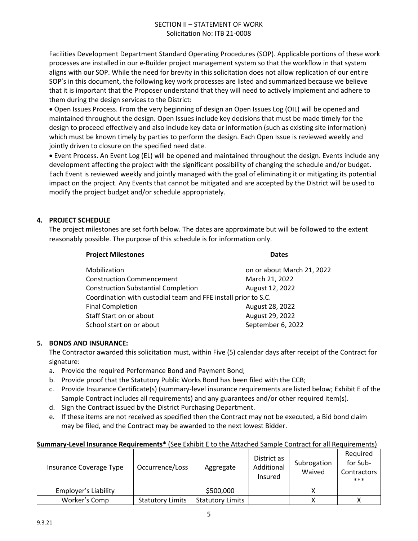#### SECTION II – STATEMENT OF WORK Solicitation No: ITB 21-0008

Facilities Development Department Standard Operating Procedures (SOP). Applicable portions of these work processes are installed in our e-Builder project management system so that the workflow in that system aligns with our SOP. While the need for brevity in this solicitation does not allow replication of our entire SOP's in this document, the following key work processes are listed and summarized because we believe that it is important that the Proposer understand that they will need to actively implement and adhere to them during the design services to the District:

 Open Issues Process. From the very beginning of design an Open Issues Log (OIL) will be opened and maintained throughout the design. Open Issues include key decisions that must be made timely for the design to proceed effectively and also include key data or information (such as existing site information) which must be known timely by parties to perform the design. Each Open Issue is reviewed weekly and jointly driven to closure on the specified need date.

 Event Process. An Event Log (EL) will be opened and maintained throughout the design. Events include any development affecting the project with the significant possibility of changing the schedule and/or budget. Each Event is reviewed weekly and jointly managed with the goal of eliminating it or mitigating its potential impact on the project. Any Events that cannot be mitigated and are accepted by the District will be used to modify the project budget and/or schedule appropriately.

#### **4. PROJECT SCHEDULE**

The project milestones are set forth below. The dates are approximate but will be followed to the extent reasonably possible. The purpose of this schedule is for information only.

| <b>Project Milestones</b>                                      | <b>Dates</b>               |
|----------------------------------------------------------------|----------------------------|
| Mobilization                                                   | on or about March 21, 2022 |
| <b>Construction Commencement</b>                               | March 21, 2022             |
| <b>Construction Substantial Completion</b>                     | August 12, 2022            |
| Coordination with custodial team and FFE install prior to S.C. |                            |
| <b>Final Completion</b>                                        | August 28, 2022            |
| Staff Start on or about                                        | August 29, 2022            |
| School start on or about                                       | September 6, 2022          |
|                                                                |                            |

## **5. BONDS AND INSURANCE:**

The Contractor awarded this solicitation must, within Five (5) calendar days after receipt of the Contract for signature:

- a. Provide the required Performance Bond and Payment Bond;
- b. Provide proof that the Statutory Public Works Bond has been filed with the CCB;
- c. Provide Insurance Certificate(s) (summary-level insurance requirements are listed below; Exhibit E of the Sample Contract includes all requirements) and any guarantees and/or other required item(s).
- d. Sign the Contract issued by the District Purchasing Department.
- e. If these items are not received as specified then the Contract may not be executed, a Bid bond claim may be filed, and the Contract may be awarded to the next lowest Bidder.

#### **Summary-Level Insurance Requirements\*** (See Exhibit E to the Attached Sample Contract for all Requirements)

| Insurance Coverage Type | Occurrence/Loss         | Aggregate               | District as<br>Additional<br><b>Insured</b> | Subrogation<br>Waived | Required<br>for Sub-<br>Contractors<br>*** |
|-------------------------|-------------------------|-------------------------|---------------------------------------------|-----------------------|--------------------------------------------|
| Employer's Liability    |                         | \$500,000               |                                             |                       |                                            |
| Worker's Comp           | <b>Statutory Limits</b> | <b>Statutory Limits</b> |                                             | v                     | v                                          |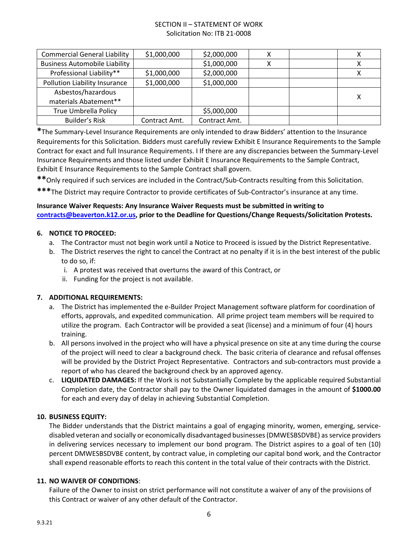#### SECTION II – STATEMENT OF WORK Solicitation No: ITB 21-0008

| <b>Commercial General Liability</b>  | \$1,000,000   | \$2,000,000   | х | Χ |
|--------------------------------------|---------------|---------------|---|---|
| <b>Business Automobile Liability</b> |               | \$1,000,000   | х |   |
| Professional Liability**             | \$1,000,000   | \$2,000,000   |   | х |
| Pollution Liability Insurance        | \$1,000,000   | \$1,000,000   |   |   |
| Asbestos/hazardous                   |               |               |   | х |
| materials Abatement**                |               |               |   |   |
| <b>True Umbrella Policy</b>          |               | \$5,000,000   |   |   |
| Builder's Risk                       | Contract Amt. | Contract Amt. |   |   |

**\***The Summary-Level Insurance Requirements are only intended to draw Bidders' attention to the Insurance Requirements for this Solicitation. Bidders must carefully review Exhibit E Insurance Requirements to the Sample Contract for exact and full Insurance Requirements. I If there are any discrepancies between the Summary-Level Insurance Requirements and those listed under Exhibit E Insurance Requirements to the Sample Contract, Exhibit E Insurance Requirements to the Sample Contract shall govern.

**\*\***Only required if such services are included in the Contract/Sub-Contracts resulting from this Solicitation.

**\*\*\***The District may require Contractor to provide certificates of Sub-Contractor's insurance at any time.

#### **Insurance Waiver Requests: Any Insurance Waiver Requests must be submitted in writing to [contracts@beaverton.k12.or.us,](mailto:contracts@beaverton.k12.or.us) prior to the Deadline for Questions/Change Requests/Solicitation Protests.**

#### **6. NOTICE TO PROCEED:**

- a. The Contractor must not begin work until a Notice to Proceed is issued by the District Representative.
- b. The District reserves the right to cancel the Contract at no penalty if it is in the best interest of the public to do so, if:
	- i. A protest was received that overturns the award of this Contract, or
	- ii. Funding for the project is not available.

#### **7. ADDITIONAL REQUIREMENTS:**

- a. The District has implemented the e-Builder Project Management software platform for coordination of efforts, approvals, and expedited communication. All prime project team members will be required to utilize the program. Each Contractor will be provided a seat (license) and a minimum of four (4) hours training.
- b. All persons involved in the project who will have a physical presence on site at any time during the course of the project will need to clear a background check. The basic criteria of clearance and refusal offenses will be provided by the District Project Representative. Contractors and sub-contractors must provide a report of who has cleared the background check by an approved agency.
- c. **LIQUIDATED DAMAGES:** If the Work is not Substantially Complete by the applicable required Substantial Completion date, the Contractor shall pay to the Owner liquidated damages in the amount of **\$1000.00** for each and every day of delay in achieving Substantial Completion.

#### **10. BUSINESS EQUITY:**

The Bidder understands that the District maintains a goal of engaging minority, women, emerging, servicedisabled veteran and socially or economically disadvantaged businesses (DMWESBSDVBE) as service providers in delivering services necessary to implement our bond program. The District aspires to a goal of ten (10) percent DMWESBSDVBE content, by contract value, in completing our capital bond work, and the Contractor shall expend reasonable efforts to reach this content in the total value of their contracts with the District.

#### **11. NO WAIVER OF CONDITIONS**:

Failure of the Owner to insist on strict performance will not constitute a waiver of any of the provisions of this Contract or waiver of any other default of the Contractor.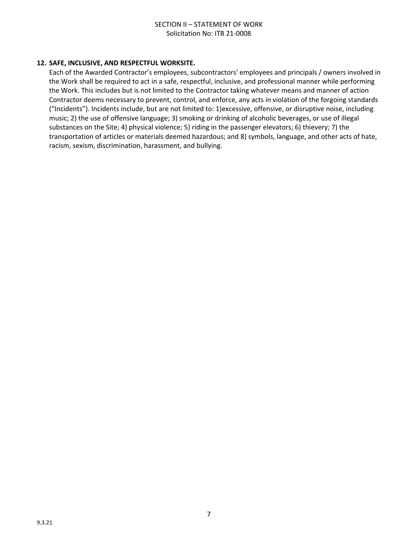#### **12. SAFE, INCLUSIVE, AND RESPECTFUL WORKSITE.**

Each of the Awarded Contractor's employees, subcontractors' employees and principals / owners involved in the Work shall be required to act in a safe, respectful, inclusive, and professional manner while performing the Work. This includes but is not limited to the Contractor taking whatever means and manner of action Contractor deems necessary to prevent, control, and enforce, any acts in violation of the forgoing standards ("Incidents"). Incidents include, but are not limited to: 1)excessive, offensive, or disruptive noise, including music; 2) the use of offensive language; 3) smoking or drinking of alcoholic beverages, or use of illegal substances on the Site; 4) physical violence; 5) riding in the passenger elevators; 6) thievery; 7) the transportation of articles or materials deemed hazardous; and 8) symbols, language, and other acts of hate, racism, sexism, discrimination, harassment, and bullying.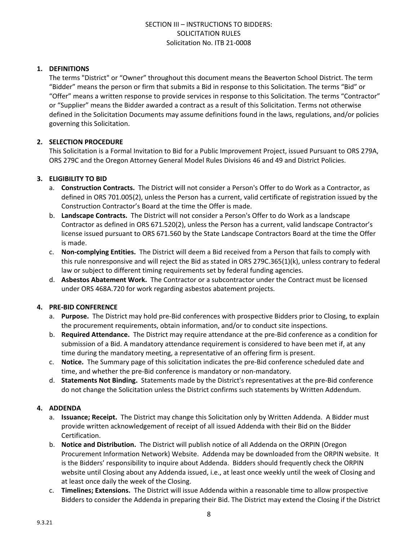#### **1. DEFINITIONS**

The terms "District" or "Owner" throughout this document means the Beaverton School District. The term "Bidder" means the person or firm that submits a Bid in response to this Solicitation. The terms "Bid" or "Offer" means a written response to provide services in response to this Solicitation. The terms "Contractor" or "Supplier" means the Bidder awarded a contract as a result of this Solicitation. Terms not otherwise defined in the Solicitation Documents may assume definitions found in the laws, regulations, and/or policies governing this Solicitation.

#### **2. SELECTION PROCEDURE**

This Solicitation is a Formal Invitation to Bid for a Public Improvement Project, issued Pursuant to ORS 279A, ORS 279C and the Oregon Attorney General Model Rules Divisions 46 and 49 and District Policies.

#### **3. ELIGIBILITY TO BID**

- a. **Construction Contracts.** The District will not consider a Person's Offer to do Work as a Contractor, as defined in ORS 701.005(2), unless the Person has a current, valid certificate of registration issued by the Construction Contractor's Board at the time the Offer is made.
- b. **Landscape Contracts.** The District will not consider a Person's Offer to do Work as a landscape Contractor as defined in ORS 671.520(2), unless the Person has a current, valid landscape Contractor's license issued pursuant to ORS 671.560 by the State Landscape Contractors Board at the time the Offer is made.
- c. **Non-complying Entities.** The District will deem a Bid received from a Person that fails to comply with this rule nonresponsive and will reject the Bid as stated in ORS 279C.365(1)(k), unless contrary to federal law or subject to different timing requirements set by federal funding agencies.
- d. **Asbestos Abatement Work.** The Contractor or a subcontractor under the Contract must be licensed under ORS 468A.720 for work regarding asbestos abatement projects.

#### **4. PRE-BID CONFERENCE**

- a. **Purpose.** The District may hold pre-Bid conferences with prospective Bidders prior to Closing, to explain the procurement requirements, obtain information, and/or to conduct site inspections.
- b. **Required Attendance.** The District may require attendance at the pre-Bid conference as a condition for submission of a Bid. A mandatory attendance requirement is considered to have been met if, at any time during the mandatory meeting, a representative of an offering firm is present.
- c. **Notice.** The Summary page of this solicitation indicates the pre-Bid conference scheduled date and time, and whether the pre-Bid conference is mandatory or non-mandatory.
- d. **Statements Not Binding.** Statements made by the District's representatives at the pre-Bid conference do not change the Solicitation unless the District confirms such statements by Written Addendum.

#### **4. ADDENDA**

- a. **Issuance; Receipt.** The District may change this Solicitation only by Written Addenda. A Bidder must provide written acknowledgement of receipt of all issued Addenda with their Bid on the Bidder Certification.
- b. **Notice and Distribution.** The District will publish notice of all Addenda on the ORPIN (Oregon Procurement Information Network) Website. Addenda may be downloaded from the ORPIN website. It is the Bidders' responsibility to inquire about Addenda. Bidders should frequently check the ORPIN website until Closing about any Addenda issued, i.e., at least once weekly until the week of Closing and at least once daily the week of the Closing.
- c. **Timelines; Extensions.** The District will issue Addenda within a reasonable time to allow prospective Bidders to consider the Addenda in preparing their Bid. The District may extend the Closing if the District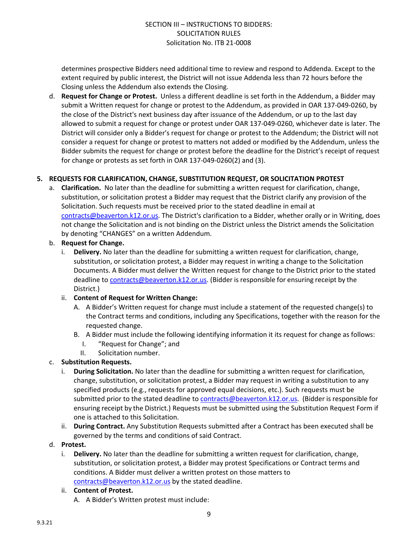determines prospective Bidders need additional time to review and respond to Addenda. Except to the extent required by public interest, the District will not issue Addenda less than 72 hours before the Closing unless the Addendum also extends the Closing.

d. **Request for Change or Protest.** Unless a different deadline is set forth in the Addendum, a Bidder may submit a Written request for change or protest to the Addendum, as provided in OAR 137-049-0260, by the close of the District's next business day after issuance of the Addendum, or up to the last day allowed to submit a request for change or protest under OAR 137-049-0260, whichever date is later. The District will consider only a Bidder's request for change or protest to the Addendum; the District will not consider a request for change or protest to matters not added or modified by the Addendum, unless the Bidder submits the request for change or protest before the deadline for the District's receipt of request for change or protests as set forth in OAR 137-049-0260(2) and (3).

#### **5. REQUESTS FOR CLARIFICATION, CHANGE, SUBSTITUTION REQUEST, OR SOLICITATION PROTEST**

a. **Clarification.** No later than the deadline for submitting a written request for clarification, change, substitution, or solicitation protest a Bidder may request that the District clarify any provision of the Solicitation. Such requests must be received prior to the stated deadline in email at [contracts@beaverton.k12.or.us.](mailto:contracts@beaverton.k12.or.us) The District's clarification to a Bidder, whether orally or in Writing, does not change the Solicitation and is not binding on the District unless the District amends the Solicitation by denoting "CHANGES" on a written Addendum.

#### b. **Request for Change.**

i. **Delivery.** No later than the deadline for submitting a written request for clarification, change, substitution, or solicitation protest, a Bidder may request in writing a change to the Solicitation Documents. A Bidder must deliver the Written request for change to the District prior to the stated deadline to [contracts@beaverton.k12.or.us.](mailto:contracts@beaverton.k12.or.us) (Bidder is responsible for ensuring receipt by the District.)

#### ii. **Content of Request for Written Change:**

- A. A Bidder's Written request for change must include a statement of the requested change(s) to the Contract terms and conditions, including any Specifications, together with the reason for the requested change.
- B. A Bidder must include the following identifying information it its request for change as follows:
	- I. "Request for Change"; and
	- II. Solicitation number.

#### c. **Substitution Requests.**

- i. **During Solicitation.** No later than the deadline for submitting a written request for clarification, change, substitution, or solicitation protest, a Bidder may request in writing a substitution to any specified products (e.g., requests for approved equal decisions, etc.). Such requests must be submitted prior to the stated deadline to [contracts@beaverton.k12.or.us](mailto:contracts@beaverton.k12.or.us). (Bidder is responsible for ensuring receipt by the District.) Requests must be submitted using the Substitution Request Form if one is attached to this Solicitation.
- ii. **During Contract.** Any Substitution Requests submitted after a Contract has been executed shall be governed by the terms and conditions of said Contract.

#### d. **Protest.**

i. **Delivery.** No later than the deadline for submitting a written request for clarification, change, substitution, or solicitation protest, a Bidder may protest Specifications or Contract terms and conditions. A Bidder must deliver a written protest on those matters to [contracts@beaverton.k12.or.us](mailto:contracts@beaverton.k12.or.us) by the stated deadline.

#### ii. **Content of Protest.**

A. A Bidder's Written protest must include: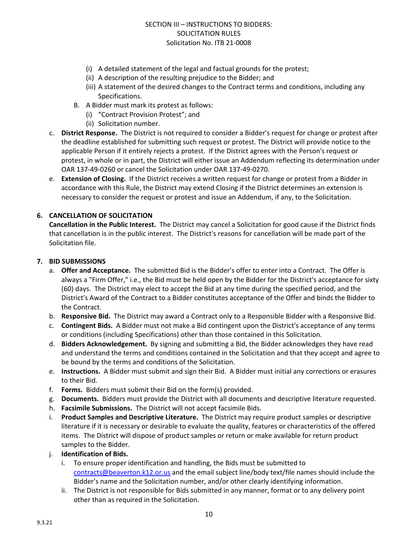- (i) A detailed statement of the legal and factual grounds for the protest;
- (ii) A description of the resulting prejudice to the Bidder; and
- (iii) A statement of the desired changes to the Contract terms and conditions, including any Specifications.
- B. A Bidder must mark its protest as follows:
	- (i) "Contract Provision Protest"; and
	- (ii) Solicitation number.
- c. **District Response.** The District is not required to consider a Bidder's request for change or protest after the deadline established for submitting such request or protest. The District will provide notice to the applicable Person if it entirely rejects a protest. If the District agrees with the Person's request or protest, in whole or in part, the District will either issue an Addendum reflecting its determination under OAR 137-49-0260 or cancel the Solicitation under OAR 137-49-0270.
- e. **Extension of Closing.** If the District receives a written request for change or protest from a Bidder in accordance with this Rule, the District may extend Closing if the District determines an extension is necessary to consider the request or protest and issue an Addendum, if any, to the Solicitation.

#### **6. CANCELLATION OF SOLICITATION**

**Cancellation in the Public Interest.** The District may cancel a Solicitation for good cause if the District finds that cancellation is in the public interest. The District's reasons for cancellation will be made part of the Solicitation file.

#### **7. BID SUBMISSIONS**

- a. **Offer and Acceptance.** The submitted Bid is the Bidder's offer to enter into a Contract. The Offer is always a "Firm Offer," i.e., the Bid must be held open by the Bidder for the District's acceptance for sixty (60) days. The District may elect to accept the Bid at any time during the specified period, and the District's Award of the Contract to a Bidder constitutes acceptance of the Offer and binds the Bidder to the Contract.
- b. **Responsive Bid.** The District may award a Contract only to a Responsible Bidder with a Responsive Bid.
- c. **Contingent Bids.** A Bidder must not make a Bid contingent upon the District's acceptance of any terms or conditions (including Specifications) other than those contained in this Solicitation.
- d. **Bidders Acknowledgement.** By signing and submitting a Bid, the Bidder acknowledges they have read and understand the terms and conditions contained in the Solicitation and that they accept and agree to be bound by the terms and conditions of the Solicitation.
- e. **Instructions.** A Bidder must submit and sign their Bid. A Bidder must initial any corrections or erasures to their Bid.
- f. **Forms.** Bidders must submit their Bid on the form(s) provided.
- g. **Documents.** Bidders must provide the District with all documents and descriptive literature requested.
- h. **Facsimile Submissions.** The District will not accept facsimile Bids.
- i. **Product Samples and Descriptive Literature.** The District may require product samples or descriptive literature if it is necessary or desirable to evaluate the quality, features or characteristics of the offered items. The District will dispose of product samples or return or make available for return product samples to the Bidder.
- j. **Identification of Bids.**
	- i. To ensure proper identification and handling, the Bids must be submitted to [contracts@beaverton.k12.or.us](mailto:contracts@beaverton.k12.or.us) and the email subject line/body text/file names should include the Bidder's name and the Solicitation number, and/or other clearly identifying information.
	- ii. The District is not responsible for Bids submitted in any manner, format or to any delivery point other than as required in the Solicitation.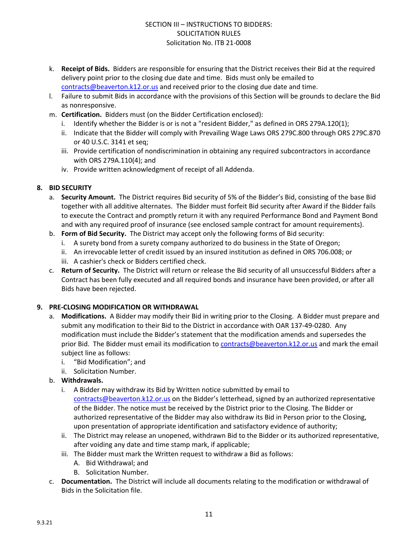- k. **Receipt of Bids.** Bidders are responsible for ensuring that the District receives their Bid at the required delivery point prior to the closing due date and time. Bids must only be emailed to [contracts@beaverton.k12.or.us](mailto:contracts@beaverton.k12.or.us) and received prior to the closing due date and time.
- l. Failure to submit Bids in accordance with the provisions of this Section will be grounds to declare the Bid as nonresponsive.
- m. **Certification.** Bidders must (on the Bidder Certification enclosed):
	- i. Identify whether the Bidder is or is not a "resident Bidder," as defined in ORS 279A.120(1);
	- ii. Indicate that the Bidder will comply with Prevailing Wage Laws ORS 279C.800 through ORS 279C.870 or 40 U.S.C. 3141 et seq;
	- iii. Provide certification of nondiscrimination in obtaining any required subcontractors in accordance with ORS 279A.110(4); and
	- iv. Provide written acknowledgment of receipt of all Addenda.

#### **8. BID SECURITY**

- a. **Security Amount.** The District requires Bid security of 5% of the Bidder's Bid, consisting of the base Bid together with all additive alternates. The Bidder must forfeit Bid security after Award if the Bidder fails to execute the Contract and promptly return it with any required Performance Bond and Payment Bond and with any required proof of insurance (see enclosed sample contract for amount requirements).
- b. **Form of Bid Security.** The District may accept only the following forms of Bid security:
	- i. A surety bond from a surety company authorized to do business in the State of Oregon;
	- ii. An irrevocable letter of credit issued by an insured institution as defined in ORS 706.008; or
	- iii. A cashier's check or Bidders certified check.
- c. **Return of Security.** The District will return or release the Bid security of all unsuccessful Bidders after a Contract has been fully executed and all required bonds and insurance have been provided, or after all Bids have been rejected.

#### **9. PRE-CLOSING MODIFICATION OR WITHDRAWAL**

- a. **Modifications.** A Bidder may modify their Bid in writing prior to the Closing. A Bidder must prepare and submit any modification to their Bid to the District in accordance with OAR 137-49-0280. Any modification must include the Bidder's statement that the modification amends and supersedes the prior Bid. The Bidder must email its modification to [contracts@beaverton.k12.or.us](mailto:contracts@beaverton.k12.or.us) and mark the email subject line as follows:
	- i. "Bid Modification"; and
	- ii. Solicitation Number.
- b. **Withdrawals.**
	- i. A Bidder may withdraw its Bid by Written notice submitted by email to [contracts@beaverton.k12.or.us](mailto:contracts@beaverton.k12.or.us) on the Bidder's letterhead, signed by an authorized representative of the Bidder. The notice must be received by the District prior to the Closing. The Bidder or authorized representative of the Bidder may also withdraw its Bid in Person prior to the Closing, upon presentation of appropriate identification and satisfactory evidence of authority;
	- ii. The District may release an unopened, withdrawn Bid to the Bidder or its authorized representative, after voiding any date and time stamp mark, if applicable;
	- iii. The Bidder must mark the Written request to withdraw a Bid as follows:
		- A. Bid Withdrawal; and
		- B. Solicitation Number.
- c. **Documentation.** The District will include all documents relating to the modification or withdrawal of Bids in the Solicitation file.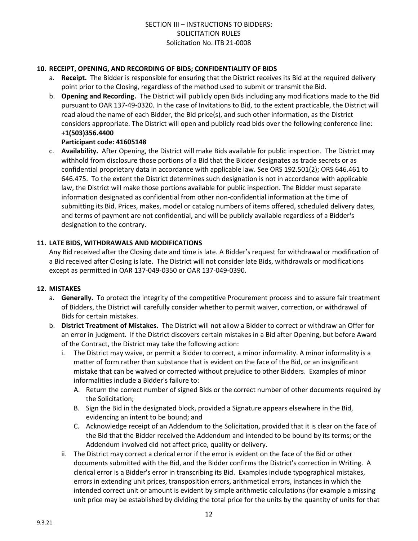#### **10. RECEIPT, OPENING, AND RECORDING OF BIDS; CONFIDENTIALITY OF BIDS**

- a. **Receipt.** The Bidder is responsible for ensuring that the District receives its Bid at the required delivery point prior to the Closing, regardless of the method used to submit or transmit the Bid.
- b. **Opening and Recording.** The District will publicly open Bids including any modifications made to the Bid pursuant to OAR 137-49-0320. In the case of Invitations to Bid, to the extent practicable, the District will read aloud the name of each Bidder, the Bid price(s), and such other information, as the District considers appropriate. The District will open and publicly read bids over the following conference line: **+1(503)356.4400**

#### **Participant code: 41605148**

c. **Availability.** After Opening, the District will make Bids available for public inspection. The District may withhold from disclosure those portions of a Bid that the Bidder designates as trade secrets or as confidential proprietary data in accordance with applicable law. See ORS 192.501(2); ORS 646.461 to 646.475. To the extent the District determines such designation is not in accordance with applicable law, the District will make those portions available for public inspection. The Bidder must separate information designated as confidential from other non-confidential information at the time of submitting its Bid. Prices, makes, model or catalog numbers of items offered, scheduled delivery dates, and terms of payment are not confidential, and will be publicly available regardless of a Bidder's designation to the contrary.

#### **11. LATE BIDS, WITHDRAWALS AND MODIFICATIONS**

Any Bid received after the Closing date and time is late. A Bidder's request for withdrawal or modification of a Bid received after Closing is late. The District will not consider late Bids, withdrawals or modifications except as permitted in OAR 137-049-0350 or OAR 137-049-0390.

#### **12. MISTAKES**

- a. **Generally.** To protect the integrity of the competitive Procurement process and to assure fair treatment of Bidders, the District will carefully consider whether to permit waiver, correction, or withdrawal of Bids for certain mistakes.
- b. **District Treatment of Mistakes.** The District will not allow a Bidder to correct or withdraw an Offer for an error in judgment. If the District discovers certain mistakes in a Bid after Opening, but before Award of the Contract, the District may take the following action:
	- i. The District may waive, or permit a Bidder to correct, a minor informality. A minor informality is a matter of form rather than substance that is evident on the face of the Bid, or an insignificant mistake that can be waived or corrected without prejudice to other Bidders. Examples of minor informalities include a Bidder's failure to:
		- A. Return the correct number of signed Bids or the correct number of other documents required by the Solicitation;
		- B. Sign the Bid in the designated block, provided a Signature appears elsewhere in the Bid, evidencing an intent to be bound; and
		- C. Acknowledge receipt of an Addendum to the Solicitation, provided that it is clear on the face of the Bid that the Bidder received the Addendum and intended to be bound by its terms; or the Addendum involved did not affect price, quality or delivery.
	- ii. The District may correct a clerical error if the error is evident on the face of the Bid or other documents submitted with the Bid, and the Bidder confirms the District's correction in Writing. A clerical error is a Bidder's error in transcribing its Bid. Examples include typographical mistakes, errors in extending unit prices, transposition errors, arithmetical errors, instances in which the intended correct unit or amount is evident by simple arithmetic calculations (for example a missing unit price may be established by dividing the total price for the units by the quantity of units for that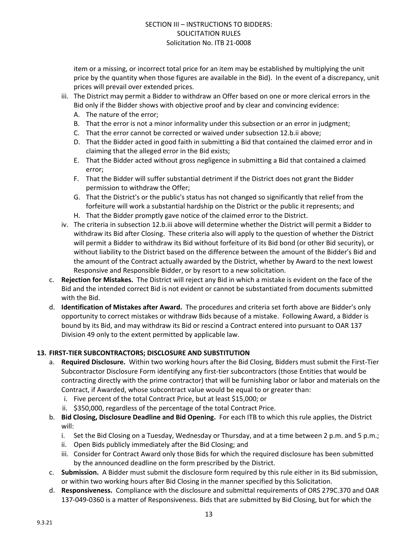item or a missing, or incorrect total price for an item may be established by multiplying the unit price by the quantity when those figures are available in the Bid). In the event of a discrepancy, unit prices will prevail over extended prices.

- iii. The District may permit a Bidder to withdraw an Offer based on one or more clerical errors in the Bid only if the Bidder shows with objective proof and by clear and convincing evidence:
	- A. The nature of the error;
	- B. That the error is not a minor informality under this subsection or an error in judgment;
	- C. That the error cannot be corrected or waived under subsection 12.b.ii above;
	- D. That the Bidder acted in good faith in submitting a Bid that contained the claimed error and in claiming that the alleged error in the Bid exists;
	- E. That the Bidder acted without gross negligence in submitting a Bid that contained a claimed error;
	- F. That the Bidder will suffer substantial detriment if the District does not grant the Bidder permission to withdraw the Offer;
	- G. That the District's or the public's status has not changed so significantly that relief from the forfeiture will work a substantial hardship on the District or the public it represents; and
	- H. That the Bidder promptly gave notice of the claimed error to the District.
- iv. The criteria in subsection 12.b.iii above will determine whether the District will permit a Bidder to withdraw its Bid after Closing. These criteria also will apply to the question of whether the District will permit a Bidder to withdraw its Bid without forfeiture of its Bid bond (or other Bid security), or without liability to the District based on the difference between the amount of the Bidder's Bid and the amount of the Contract actually awarded by the District, whether by Award to the next lowest Responsive and Responsible Bidder, or by resort to a new solicitation.
- c. **Rejection for Mistakes.** The District will reject any Bid in which a mistake is evident on the face of the Bid and the intended correct Bid is not evident or cannot be substantiated from documents submitted with the Bid.
- d. **Identification of Mistakes after Award.** The procedures and criteria set forth above are Bidder's only opportunity to correct mistakes or withdraw Bids because of a mistake. Following Award, a Bidder is bound by its Bid, and may withdraw its Bid or rescind a Contract entered into pursuant to OAR 137 Division 49 only to the extent permitted by applicable law.

#### **13. FIRST-TIER SUBCONTRACTORS; DISCLOSURE AND SUBSTITUTION**

- a. **Required Disclosure.** Within two working hours after the Bid Closing, Bidders must submit the First-Tier Subcontractor Disclosure Form identifying any first-tier subcontractors (those Entities that would be contracting directly with the prime contractor) that will be furnishing labor or labor and materials on the Contract, if Awarded, whose subcontract value would be equal to or greater than:
	- i. Five percent of the total Contract Price, but at least \$15,000; or
	- ii. \$350,000, regardless of the percentage of the total Contract Price.
- b. **Bid Closing, Disclosure Deadline and Bid Opening.** For each ITB to which this rule applies, the District will:
	- i. Set the Bid Closing on a Tuesday, Wednesday or Thursday, and at a time between 2 p.m. and 5 p.m.;
	- ii. Open Bids publicly immediately after the Bid Closing; and
	- iii. Consider for Contract Award only those Bids for which the required disclosure has been submitted by the announced deadline on the form prescribed by the District.
- c. **Submission.** A Bidder must submit the disclosure form required by this rule either in its Bid submission, or within two working hours after Bid Closing in the manner specified by this Solicitation.
- d. **Responsiveness.** Compliance with the disclosure and submittal requirements of ORS 279C.370 and OAR 137-049-0360 is a matter of Responsiveness. Bids that are submitted by Bid Closing, but for which the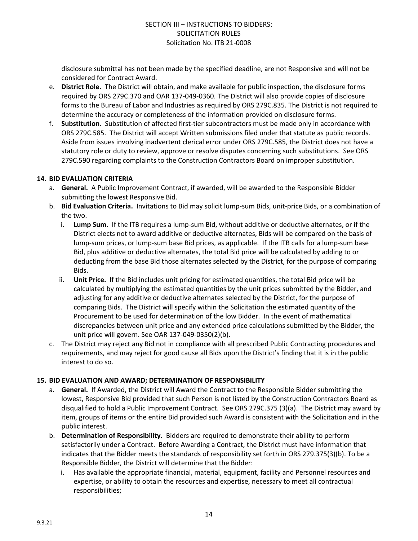disclosure submittal has not been made by the specified deadline, are not Responsive and will not be considered for Contract Award.

- e. **District Role.** The District will obtain, and make available for public inspection, the disclosure forms required by ORS 279C.370 and OAR 137-049-0360. The District will also provide copies of disclosure forms to the Bureau of Labor and Industries as required by ORS 279C.835. The District is not required to determine the accuracy or completeness of the information provided on disclosure forms.
- f. **Substitution.** Substitution of affected first-tier subcontractors must be made only in accordance with ORS 279C.585. The District will accept Written submissions filed under that statute as public records. Aside from issues involving inadvertent clerical error under ORS 279C.585, the District does not have a statutory role or duty to review, approve or resolve disputes concerning such substitutions. See ORS 279C.590 regarding complaints to the Construction Contractors Board on improper substitution.

#### **14. BID EVALUATION CRITERIA**

- a. **General.** A Public Improvement Contract, if awarded, will be awarded to the Responsible Bidder submitting the lowest Responsive Bid.
- b. **Bid Evaluation Criteria.** Invitations to Bid may solicit lump-sum Bids, unit-price Bids, or a combination of the two.
	- i. **Lump Sum.** If the ITB requires a lump-sum Bid, without additive or deductive alternates, or if the District elects not to award additive or deductive alternates, Bids will be compared on the basis of lump-sum prices, or lump-sum base Bid prices, as applicable. If the ITB calls for a lump-sum base Bid, plus additive or deductive alternates, the total Bid price will be calculated by adding to or deducting from the base Bid those alternates selected by the District, for the purpose of comparing Bids.
	- ii. **Unit Price.** If the Bid includes unit pricing for estimated quantities, the total Bid price will be calculated by multiplying the estimated quantities by the unit prices submitted by the Bidder, and adjusting for any additive or deductive alternates selected by the District, for the purpose of comparing Bids. The District will specify within the Solicitation the estimated quantity of the Procurement to be used for determination of the low Bidder. In the event of mathematical discrepancies between unit price and any extended price calculations submitted by the Bidder, the unit price will govern. See OAR 137-049-0350(2)(b).
- c. The District may reject any Bid not in compliance with all prescribed Public Contracting procedures and requirements, and may reject for good cause all Bids upon the District's finding that it is in the public interest to do so.

#### **15. BID EVALUATION AND AWARD; DETERMINATION OF RESPONSIBILITY**

- a. **General.** If Awarded, the District will Award the Contract to the Responsible Bidder submitting the lowest, Responsive Bid provided that such Person is not listed by the Construction Contractors Board as disqualified to hold a Public Improvement Contract. See ORS 279C.375 (3)(a). The District may award by item, groups of items or the entire Bid provided such Award is consistent with the Solicitation and in the public interest.
- b. **Determination of Responsibility.** Bidders are required to demonstrate their ability to perform satisfactorily under a Contract. Before Awarding a Contract, the District must have information that indicates that the Bidder meets the standards of responsibility set forth in ORS 279.375(3)(b). To be a Responsible Bidder, the District will determine that the Bidder:
	- i. Has available the appropriate financial, material, equipment, facility and Personnel resources and expertise, or ability to obtain the resources and expertise, necessary to meet all contractual responsibilities;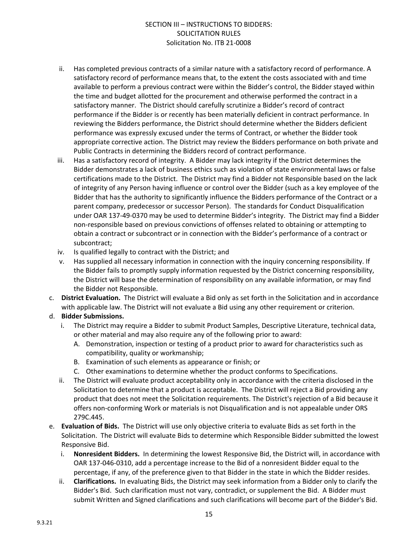- ii. Has completed previous contracts of a similar nature with a satisfactory record of performance. A satisfactory record of performance means that, to the extent the costs associated with and time available to perform a previous contract were within the Bidder's control, the Bidder stayed within the time and budget allotted for the procurement and otherwise performed the contract in a satisfactory manner. The District should carefully scrutinize a Bidder's record of contract performance if the Bidder is or recently has been materially deficient in contract performance. In reviewing the Bidders performance, the District should determine whether the Bidders deficient performance was expressly excused under the terms of Contract, or whether the Bidder took appropriate corrective action. The District may review the Bidders performance on both private and Public Contracts in determining the Bidders record of contract performance.
- iii. Has a satisfactory record of integrity. A Bidder may lack integrity if the District determines the Bidder demonstrates a lack of business ethics such as violation of state environmental laws or false certifications made to the District. The District may find a Bidder not Responsible based on the lack of integrity of any Person having influence or control over the Bidder (such as a key employee of the Bidder that has the authority to significantly influence the Bidders performance of the Contract or a parent company, predecessor or successor Person). The standards for Conduct Disqualification under OAR 137-49-0370 may be used to determine Bidder's integrity. The District may find a Bidder non-responsible based on previous convictions of offenses related to obtaining or attempting to obtain a contract or subcontract or in connection with the Bidder's performance of a contract or subcontract;
- iv. Is qualified legally to contract with the District; and
- v. Has supplied all necessary information in connection with the inquiry concerning responsibility. If the Bidder fails to promptly supply information requested by the District concerning responsibility, the District will base the determination of responsibility on any available information, or may find the Bidder not Responsible.
- c. **District Evaluation.** The District will evaluate a Bid only as set forth in the Solicitation and in accordance with applicable law. The District will not evaluate a Bid using any other requirement or criterion.
- d. **Bidder Submissions.** 
	- i. The District may require a Bidder to submit Product Samples, Descriptive Literature, technical data, or other material and may also require any of the following prior to award:
		- A. Demonstration, inspection or testing of a product prior to award for characteristics such as compatibility, quality or workmanship;
		- B. Examination of such elements as appearance or finish; or
		- C. Other examinations to determine whether the product conforms to Specifications.
	- ii. The District will evaluate product acceptability only in accordance with the criteria disclosed in the Solicitation to determine that a product is acceptable. The District will reject a Bid providing any product that does not meet the Solicitation requirements. The District's rejection of a Bid because it offers non-conforming Work or materials is not Disqualification and is not appealable under ORS 279C.445.
- e. **Evaluation of Bids.** The District will use only objective criteria to evaluate Bids as set forth in the Solicitation. The District will evaluate Bids to determine which Responsible Bidder submitted the lowest Responsive Bid.
	- i. **Nonresident Bidders.** In determining the lowest Responsive Bid, the District will, in accordance with OAR 137-046-0310, add a percentage increase to the Bid of a nonresident Bidder equal to the percentage, if any, of the preference given to that Bidder in the state in which the Bidder resides.
	- ii. **Clarifications.** In evaluating Bids, the District may seek information from a Bidder only to clarify the Bidder's Bid. Such clarification must not vary, contradict, or supplement the Bid. A Bidder must submit Written and Signed clarifications and such clarifications will become part of the Bidder's Bid.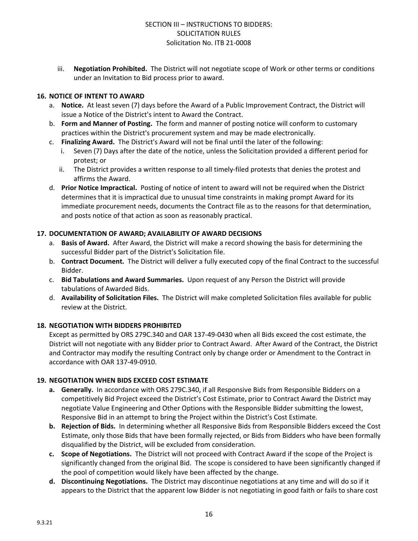iii. **Negotiation Prohibited.** The District will not negotiate scope of Work or other terms or conditions under an Invitation to Bid process prior to award.

#### **16. NOTICE OF INTENT TO AWARD**

- a. **Notice.** At least seven (7) days before the Award of a Public Improvement Contract, the District will issue a Notice of the District's intent to Award the Contract.
- b. **Form and Manner of Posting.** The form and manner of posting notice will conform to customary practices within the District's procurement system and may be made electronically.
- c. **Finalizing Award.** The District's Award will not be final until the later of the following:
	- Seven (7) Days after the date of the notice, unless the Solicitation provided a different period for protest; or
	- ii. The District provides a written response to all timely-filed protests that denies the protest and affirms the Award.
- d. **Prior Notice Impractical.** Posting of notice of intent to award will not be required when the District determines that it is impractical due to unusual time constraints in making prompt Award for its immediate procurement needs, documents the Contract file as to the reasons for that determination, and posts notice of that action as soon as reasonably practical.

#### **17. DOCUMENTATION OF AWARD; AVAILABILITY OF AWARD DECISIONS**

- a. **Basis of Award.** After Award, the District will make a record showing the basis for determining the successful Bidder part of the District's Solicitation file.
- b. **Contract Document.** The District will deliver a fully executed copy of the final Contract to the successful Bidder.
- c. **Bid Tabulations and Award Summaries.** Upon request of any Person the District will provide tabulations of Awarded Bids.
- d. **Availability of Solicitation Files.** The District will make completed Solicitation files available for public review at the District.

#### **18. NEGOTIATION WITH BIDDERS PROHIBITED**

Except as permitted by ORS 279C.340 and OAR 137-49-0430 when all Bids exceed the cost estimate, the District will not negotiate with any Bidder prior to Contract Award. After Award of the Contract, the District and Contractor may modify the resulting Contract only by change order or Amendment to the Contract in accordance with OAR 137-49-0910.

#### **19. NEGOTIATION WHEN BIDS EXCEED COST ESTIMATE**

- **a. Generally.** In accordance with ORS 279C.340, if all Responsive Bids from Responsible Bidders on a competitively Bid Project exceed the District's Cost Estimate, prior to Contract Award the District may negotiate Value Engineering and Other Options with the Responsible Bidder submitting the lowest, Responsive Bid in an attempt to bring the Project within the District's Cost Estimate.
- **b. Rejection of Bids.** In determining whether all Responsive Bids from Responsible Bidders exceed the Cost Estimate, only those Bids that have been formally rejected, or Bids from Bidders who have been formally disqualified by the District, will be excluded from consideration.
- **c. Scope of Negotiations.** The District will not proceed with Contract Award if the scope of the Project is significantly changed from the original Bid. The scope is considered to have been significantly changed if the pool of competition would likely have been affected by the change.
- **d. Discontinuing Negotiations.** The District may discontinue negotiations at any time and will do so if it appears to the District that the apparent low Bidder is not negotiating in good faith or fails to share cost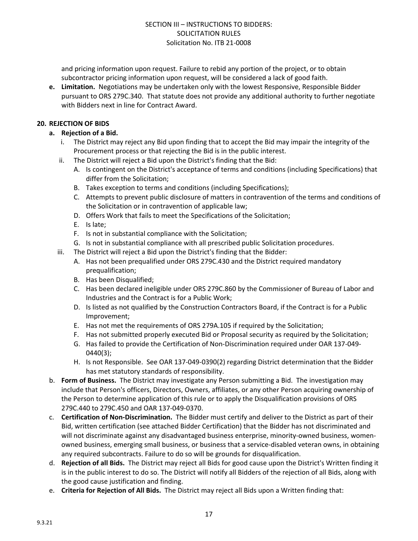and pricing information upon request. Failure to rebid any portion of the project, or to obtain subcontractor pricing information upon request, will be considered a lack of good faith.

**e. Limitation.** Negotiations may be undertaken only with the lowest Responsive, Responsible Bidder pursuant to ORS 279C.340. That statute does not provide any additional authority to further negotiate with Bidders next in line for Contract Award.

#### **20. REJECTION OF BIDS**

- **a. Rejection of a Bid.**
	- i. The District may reject any Bid upon finding that to accept the Bid may impair the integrity of the Procurement process or that rejecting the Bid is in the public interest.
	- ii. The District will reject a Bid upon the District's finding that the Bid:
		- A. Is contingent on the District's acceptance of terms and conditions (including Specifications) that differ from the Solicitation;
		- B. Takes exception to terms and conditions (including Specifications);
		- C. Attempts to prevent public disclosure of matters in contravention of the terms and conditions of the Solicitation or in contravention of applicable law;
		- D. Offers Work that fails to meet the Specifications of the Solicitation;
		- E. Is late;
		- F. Is not in substantial compliance with the Solicitation;
		- G. Is not in substantial compliance with all prescribed public Solicitation procedures.
	- iii. The District will reject a Bid upon the District's finding that the Bidder:
		- A. Has not been prequalified under ORS 279C.430 and the District required mandatory prequalification;
		- B. Has been Disqualified;
		- C. Has been declared ineligible under ORS 279C.860 by the Commissioner of Bureau of Labor and Industries and the Contract is for a Public Work;
		- D. Is listed as not qualified by the Construction Contractors Board, if the Contract is for a Public Improvement;
		- E. Has not met the requirements of ORS 279A.105 if required by the Solicitation;
		- F. Has not submitted properly executed Bid or Proposal security as required by the Solicitation;
		- G. Has failed to provide the Certification of Non-Discrimination required under OAR 137-049- 0440(3);
		- H. Is not Responsible. See OAR 137-049-0390(2) regarding District determination that the Bidder has met statutory standards of responsibility.
- b. **Form of Business.** The District may investigate any Person submitting a Bid. The investigation may include that Person's officers, Directors, Owners, affiliates, or any other Person acquiring ownership of the Person to determine application of this rule or to apply the Disqualification provisions of ORS 279C.440 to 279C.450 and OAR 137-049-0370.
- c. **Certification of Non-Discrimination.** The Bidder must certify and deliver to the District as part of their Bid, written certification (see attached Bidder Certification) that the Bidder has not discriminated and will not discriminate against any disadvantaged business enterprise, minority-owned business, womenowned business, emerging small business, or business that a service-disabled veteran owns, in obtaining any required subcontracts. Failure to do so will be grounds for disqualification.
- d. **Rejection of all Bids.** The District may reject all Bids for good cause upon the District's Written finding it is in the public interest to do so. The District will notify all Bidders of the rejection of all Bids, along with the good cause justification and finding.
- e. **Criteria for Rejection of All Bids.** The District may reject all Bids upon a Written finding that: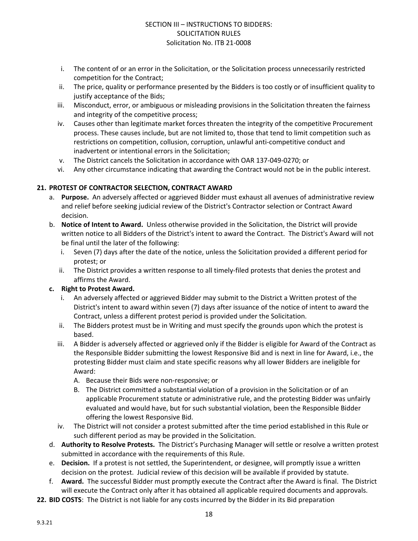- i. The content of or an error in the Solicitation, or the Solicitation process unnecessarily restricted competition for the Contract;
- ii. The price, quality or performance presented by the Bidders is too costly or of insufficient quality to justify acceptance of the Bids;
- iii. Misconduct, error, or ambiguous or misleading provisions in the Solicitation threaten the fairness and integrity of the competitive process;
- iv. Causes other than legitimate market forces threaten the integrity of the competitive Procurement process. These causes include, but are not limited to, those that tend to limit competition such as restrictions on competition, collusion, corruption, unlawful anti-competitive conduct and inadvertent or intentional errors in the Solicitation;
- v. The District cancels the Solicitation in accordance with OAR 137-049-0270; or
- vi. Any other circumstance indicating that awarding the Contract would not be in the public interest.

#### **21. PROTEST OF CONTRACTOR SELECTION, CONTRACT AWARD**

- a. **Purpose.** An adversely affected or aggrieved Bidder must exhaust all avenues of administrative review and relief before seeking judicial review of the District's Contractor selection or Contract Award decision.
- b. **Notice of Intent to Award.** Unless otherwise provided in the Solicitation, the District will provide written notice to all Bidders of the District's intent to award the Contract. The District's Award will not be final until the later of the following:
	- i. Seven (7) days after the date of the notice, unless the Solicitation provided a different period for protest; or
	- ii. The District provides a written response to all timely-filed protests that denies the protest and affirms the Award.

#### **c. Right to Protest Award.**

- i. An adversely affected or aggrieved Bidder may submit to the District a Written protest of the District's intent to award within seven (7) days after issuance of the notice of intent to award the Contract, unless a different protest period is provided under the Solicitation.
- ii. The Bidders protest must be in Writing and must specify the grounds upon which the protest is based.
- iii. A Bidder is adversely affected or aggrieved only if the Bidder is eligible for Award of the Contract as the Responsible Bidder submitting the lowest Responsive Bid and is next in line for Award, i.e., the protesting Bidder must claim and state specific reasons why all lower Bidders are ineligible for Award:
	- A. Because their Bids were non-responsive; or
	- B. The District committed a substantial violation of a provision in the Solicitation or of an applicable Procurement statute or administrative rule, and the protesting Bidder was unfairly evaluated and would have, but for such substantial violation, been the Responsible Bidder offering the lowest Responsive Bid.
- iv. The District will not consider a protest submitted after the time period established in this Rule or such different period as may be provided in the Solicitation.
- d. **Authority to Resolve Protests.** The District's Purchasing Manager will settle or resolve a written protest submitted in accordance with the requirements of this Rule.
- e. **Decision.** If a protest is not settled, the Superintendent, or designee, will promptly issue a written decision on the protest. Judicial review of this decision will be available if provided by statute.
- f. **Award.** The successful Bidder must promptly execute the Contract after the Award is final. The District will execute the Contract only after it has obtained all applicable required documents and approvals.
- **22. BID COSTS**: The District is not liable for any costs incurred by the Bidder in its Bid preparation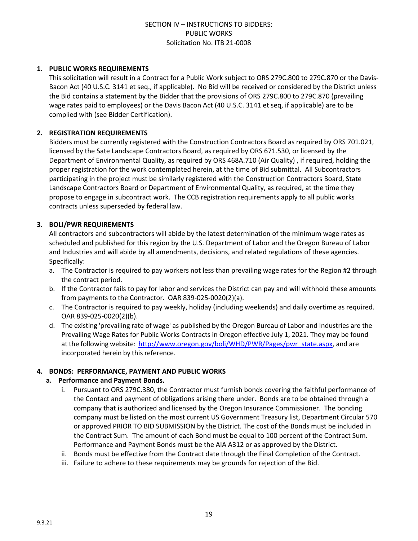#### **1. PUBLIC WORKS REQUIREMENTS**

This solicitation will result in a Contract for a Public Work subject to ORS 279C.800 to 279C.870 or the Davis-Bacon Act (40 U.S.C. 3141 et seq., if applicable). No Bid will be received or considered by the District unless the Bid contains a statement by the Bidder that the provisions of ORS 279C.800 to 279C.870 (prevailing wage rates paid to employees) or the Davis Bacon Act (40 U.S.C. 3141 et seq, if applicable) are to be complied with (see Bidder Certification).

#### **2. REGISTRATION REQUIREMENTS**

Bidders must be currently registered with the Construction Contractors Board as required by ORS 701.021, licensed by the Sate Landscape Contractors Board, as required by ORS 671.530, or licensed by the Department of Environmental Quality, as required by ORS 468A.710 (Air Quality) , if required, holding the proper registration for the work contemplated herein, at the time of Bid submittal. All Subcontractors participating in the project must be similarly registered with the Construction Contractors Board, State Landscape Contractors Board or Department of Environmental Quality, as required, at the time they propose to engage in subcontract work. The CCB registration requirements apply to all public works contracts unless superseded by federal law.

#### **3. BOLI/PWR REQUIREMENTS**

All contractors and subcontractors will abide by the latest determination of the minimum wage rates as scheduled and published for this region by the U.S. Department of Labor and the Oregon Bureau of Labor and Industries and will abide by all amendments, decisions, and related regulations of these agencies. Specifically:

- a. The Contractor is required to pay workers not less than prevailing wage rates for the Region #2 through the contract period.
- b. If the Contractor fails to pay for labor and services the District can pay and will withhold these amounts from payments to the Contractor. OAR 839-025-0020(2)(a).
- c. The Contractor is required to pay weekly, holiday (including weekends) and daily overtime as required. OAR 839-025-0020(2)(b).
- d. The existing 'prevailing rate of wage' as published by the Oregon Bureau of Labor and Industries are the Prevailing Wage Rates for Public Works Contracts in Oregon effective July 1, 2021. They may be found at the following website: [http://www.oregon.gov/boli/WHD/PWR/Pages/pwr\\_state.aspx](http://www.oregon.gov/boli/WHD/PWR/Pages/pwr_state.aspx), and are incorporated herein by this reference.

#### **4. BONDS: PERFORMANCE, PAYMENT AND PUBLIC WORKS**

#### **a. Performance and Payment Bonds.**

- i. Pursuant to ORS 279C.380, the Contractor must furnish bonds covering the faithful performance of the Contact and payment of obligations arising there under. Bonds are to be obtained through a company that is authorized and licensed by the Oregon Insurance Commissioner. The bonding company must be listed on the most current US Government Treasury list, Department Circular 570 or approved PRIOR TO BID SUBMISSION by the District. The cost of the Bonds must be included in the Contract Sum. The amount of each Bond must be equal to 100 percent of the Contract Sum. Performance and Payment Bonds must be the AIA A312 or as approved by the District.
- ii. Bonds must be effective from the Contract date through the Final Completion of the Contract.
- iii. Failure to adhere to these requirements may be grounds for rejection of the Bid.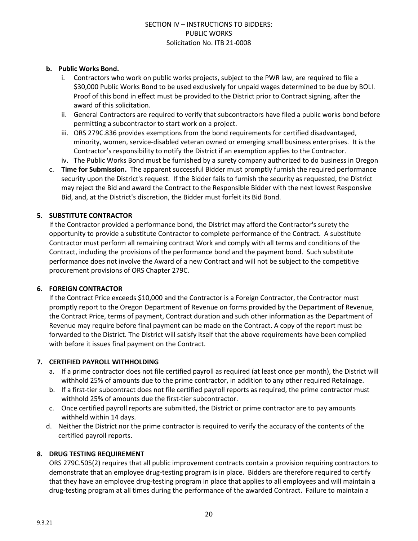#### **b. Public Works Bond.**

- i. Contractors who work on public works projects, subject to the PWR law, are required to file a \$30,000 Public Works Bond to be used exclusively for unpaid wages determined to be due by BOLI. Proof of this bond in effect must be provided to the District prior to Contract signing, after the award of this solicitation.
- ii. General Contractors are required to verify that subcontractors have filed a public works bond before permitting a subcontractor to start work on a project.
- iii. ORS 279C.836 provides exemptions from the bond requirements for certified disadvantaged, minority, women, service-disabled veteran owned or emerging small business enterprises. It is the Contractor's responsibility to notify the District if an exemption applies to the Contractor.
- iv. The Public Works Bond must be furnished by a surety company authorized to do business in Oregon
- c. **Time for Submission.** The apparent successful Bidder must promptly furnish the required performance security upon the District's request. If the Bidder fails to furnish the security as requested, the District may reject the Bid and award the Contract to the Responsible Bidder with the next lowest Responsive Bid, and, at the District's discretion, the Bidder must forfeit its Bid Bond.

#### **5. SUBSTITUTE CONTRACTOR**

If the Contractor provided a performance bond, the District may afford the Contractor's surety the opportunity to provide a substitute Contractor to complete performance of the Contract. A substitute Contractor must perform all remaining contract Work and comply with all terms and conditions of the Contract, including the provisions of the performance bond and the payment bond. Such substitute performance does not involve the Award of a new Contract and will not be subject to the competitive procurement provisions of ORS Chapter 279C.

#### **6. FOREIGN CONTRACTOR**

If the Contract Price exceeds \$10,000 and the Contractor is a Foreign Contractor, the Contractor must promptly report to the Oregon Department of Revenue on forms provided by the Department of Revenue, the Contract Price, terms of payment, Contract duration and such other information as the Department of Revenue may require before final payment can be made on the Contract. A copy of the report must be forwarded to the District. The District will satisfy itself that the above requirements have been complied with before it issues final payment on the Contract.

#### **7. CERTIFIED PAYROLL WITHHOLDING**

- a. If a prime contractor does not file certified payroll as required (at least once per month), the District will withhold 25% of amounts due to the prime contractor, in addition to any other required Retainage.
- b. If a first-tier subcontract does not file certified payroll reports as required, the prime contractor must withhold 25% of amounts due the first-tier subcontractor.
- c. Once certified payroll reports are submitted, the District or prime contractor are to pay amounts withheld within 14 days.
- d. Neither the District nor the prime contractor is required to verify the accuracy of the contents of the certified payroll reports.

#### **8. DRUG TESTING REQUIREMENT**

ORS 279C.505(2) requires that all public improvement contracts contain a provision requiring contractors to demonstrate that an employee drug-testing program is in place. Bidders are therefore required to certify that they have an employee drug-testing program in place that applies to all employees and will maintain a drug-testing program at all times during the performance of the awarded Contract. Failure to maintain a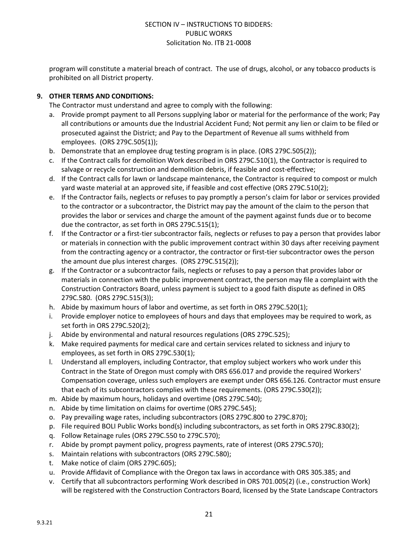program will constitute a material breach of contract. The use of drugs, alcohol, or any tobacco products is prohibited on all District property.

#### **9. OTHER TERMS AND CONDITIONS:**

The Contractor must understand and agree to comply with the following:

- a. Provide prompt payment to all Persons supplying labor or material for the performance of the work; Pay all contributions or amounts due the Industrial Accident Fund; Not permit any lien or claim to be filed or prosecuted against the District; and Pay to the Department of Revenue all sums withheld from employees. (ORS 279C.505(1));
- b. Demonstrate that an employee drug testing program is in place. (ORS 279C.505(2));
- c. If the Contract calls for demolition Work described in ORS 279C.510(1), the Contractor is required to salvage or recycle construction and demolition debris, if feasible and cost-effective;
- d. If the Contract calls for lawn or landscape maintenance, the Contractor is required to compost or mulch yard waste material at an approved site, if feasible and cost effective (ORS 279C.510(2);
- e. If the Contractor fails, neglects or refuses to pay promptly a person's claim for labor or services provided to the contractor or a subcontractor, the District may pay the amount of the claim to the person that provides the labor or services and charge the amount of the payment against funds due or to become due the contractor, as set forth in ORS 279C.515(1);
- f. If the Contractor or a first-tier subcontractor fails, neglects or refuses to pay a person that provides labor or materials in connection with the public improvement contract within 30 days after receiving payment from the contracting agency or a contractor, the contractor or first-tier subcontractor owes the person the amount due plus interest charges. (ORS 279C.515(2));
- g. If the Contractor or a subcontractor fails, neglects or refuses to pay a person that provides labor or materials in connection with the public improvement contract, the person may file a complaint with the Construction Contractors Board, unless payment is subject to a good faith dispute as defined in ORS 279C.580. (ORS 279C.515(3));
- h. Abide by maximum hours of labor and overtime, as set forth in ORS 279C.520(1);
- i. Provide employer notice to employees of hours and days that employees may be required to work, as set forth in ORS 279C.520(2);
- j. Abide by environmental and natural resources regulations (ORS 279C.525);
- k. Make required payments for medical care and certain services related to sickness and injury to employees, as set forth in ORS 279C.530(1);
- l. Understand all employers, including Contractor, that employ subject workers who work under this Contract in the State of Oregon must comply with ORS 656.017 and provide the required Workers' Compensation coverage, unless such employers are exempt under ORS 656.126. Contractor must ensure that each of its subcontractors complies with these requirements. (ORS 279C.530(2));
- m. Abide by maximum hours, holidays and overtime (ORS 279C.540);
- n. Abide by time limitation on claims for overtime (ORS 279C.545);
- o. Pay prevailing wage rates, including subcontractors (ORS 279C.800 to 279C.870);
- p. File required BOLI Public Works bond(s) including subcontractors, as set forth in ORS 279C.830(2);
- q. Follow Retainage rules (ORS 279C.550 to 279C.570);
- r. Abide by prompt payment policy, progress payments, rate of interest (ORS 279C.570);
- s. Maintain relations with subcontractors (ORS 279C.580);
- t. Make notice of claim (ORS 279C.605);
- u. Provide Affidavit of Compliance with the Oregon tax laws in accordance with ORS 305.385; and
- v. Certify that all subcontractors performing Work described in ORS 701.005(2) (i.e., construction Work) will be registered with the Construction Contractors Board, licensed by the State Landscape Contractors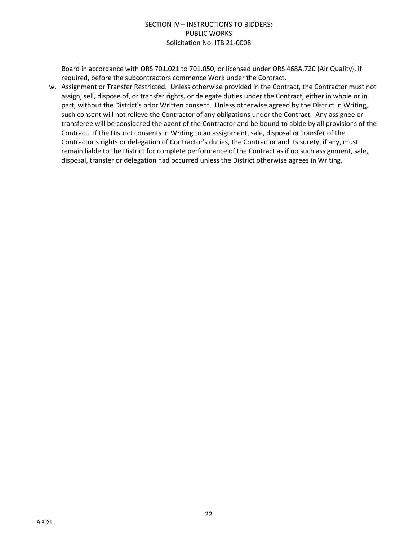Board in accordance with ORS 701.021 to 701.050, or licensed under ORS 468A.720 (Air Quality), if required, before the subcontractors commence Work under the Contract.

w. Assignment or Transfer Restricted. Unless otherwise provided in the Contract, the Contractor must not assign, sell, dispose of, or transfer rights, or delegate duties under the Contract, either in whole or in part, without the District's prior Written consent. Unless otherwise agreed by the District in Writing, such consent will not relieve the Contractor of any obligations under the Contract. Any assignee or transferee will be considered the agent of the Contractor and be bound to abide by all provisions of the Contract. If the District consents in Writing to an assignment, sale, disposal or transfer of the Contractor's rights or delegation of Contractor's duties, the Contractor and its surety, if any, must remain liable to the District for complete performance of the Contract as if no such assignment, sale, disposal, transfer or delegation had occurred unless the District otherwise agrees in Writing.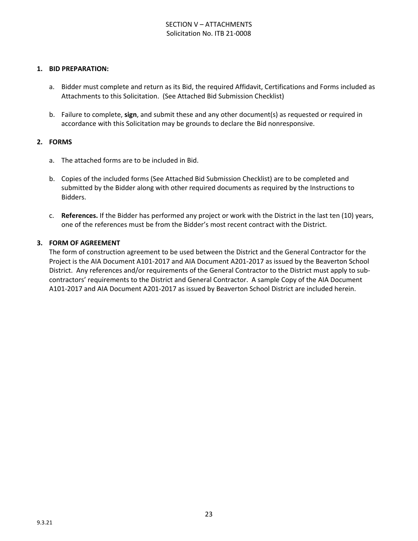#### **1. BID PREPARATION:**

- a. Bidder must complete and return as its Bid, the required Affidavit, Certifications and Forms included as Attachments to this Solicitation. (See Attached Bid Submission Checklist)
- b. Failure to complete, **sign**, and submit these and any other document(s) as requested or required in accordance with this Solicitation may be grounds to declare the Bid nonresponsive.

#### **2. FORMS**

- a. The attached forms are to be included in Bid.
- b. Copies of the included forms (See Attached Bid Submission Checklist) are to be completed and submitted by the Bidder along with other required documents as required by the Instructions to Bidders.
- c. **References.** If the Bidder has performed any project or work with the District in the last ten (10) years, one of the references must be from the Bidder's most recent contract with the District.

#### **3. FORM OF AGREEMENT**

The form of construction agreement to be used between the District and the General Contractor for the Project is the AIA Document A101-2017 and AIA Document A201-2017 as issued by the Beaverton School District. Any references and/or requirements of the General Contractor to the District must apply to subcontractors' requirements to the District and General Contractor. A sample Copy of the AIA Document A101-2017 and AIA Document A201-2017 as issued by Beaverton School District are included herein.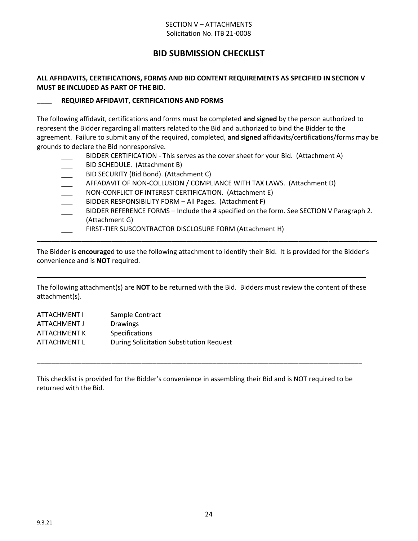#### SECTION V – ATTACHMENTS Solicitation No. ITB 21-0008

# **BID SUBMISSION CHECKLIST**

#### **ALL AFFIDAVITS, CERTIFICATIONS, FORMS AND BID CONTENT REQUIREMENTS AS SPECIFIED IN SECTION V MUST BE INCLUDED AS PART OF THE BID.**

#### **\_\_\_\_ REQUIRED AFFIDAVIT, CERTIFICATIONS AND FORMS**

The following affidavit, certifications and forms must be completed **and signed** by the person authorized to represent the Bidder regarding all matters related to the Bid and authorized to bind the Bidder to the agreement. Failure to submit any of the required, completed, **and signed** affidavits/certifications/forms may be grounds to declare the Bid nonresponsive.

- BIDDER CERTIFICATION This serves as the cover sheet for your Bid. (Attachment A)
- BID SCHEDULE. (Attachment B)
- BID SECURITY (Bid Bond). (Attachment C)
- AFFADAVIT OF NON-COLLUSION / COMPLIANCE WITH TAX LAWS. (Attachment D)
- NON-CONFLICT OF INTEREST CERTIFICATION. (Attachment E)
- BIDDER RESPONSIBILITY FORM All Pages. (Attachment F)
- BIDDER REFERENCE FORMS Include the # specified on the form. See SECTION V Paragraph 2. (Attachment G)
- FIRST-TIER SUBCONTRACTOR DISCLOSURE FORM (Attachment H)

The Bidder is **encourage**d to use the following attachment to identify their Bid. It is provided for the Bidder's convenience and is **NOT** required.

**\_\_\_\_\_\_\_\_\_\_\_\_\_\_\_\_\_\_\_\_\_\_\_\_\_\_\_\_\_\_\_\_\_\_\_\_\_\_\_\_\_\_\_\_\_\_\_\_\_\_\_\_\_\_\_\_\_\_\_\_\_\_\_\_\_\_\_\_\_\_\_\_\_\_\_\_\_\_\_\_\_\_\_\_\_\_\_\_\_\_\_**

The following attachment(s) are **NOT** to be returned with the Bid. Bidders must review the content of these attachment(s).

**\_\_\_\_\_\_\_\_\_\_\_\_\_\_\_\_\_\_\_\_\_\_\_\_\_\_\_\_\_\_\_\_\_\_\_\_\_\_\_\_\_\_\_\_\_\_\_\_\_\_\_\_\_\_\_\_\_\_\_\_\_\_\_\_\_\_\_\_\_\_\_\_\_\_\_\_\_\_\_\_\_\_\_\_\_\_\_\_**

| <b>ATTACHMENT I</b> | Sample Contract                          |
|---------------------|------------------------------------------|
| ATTACHMENT J        | <b>Drawings</b>                          |
| ATTACHMENT K        | <b>Specifications</b>                    |
| ATTACHMENT L        | During Solicitation Substitution Request |

This checklist is provided for the Bidder's convenience in assembling their Bid and is NOT required to be returned with the Bid.

**\_\_\_\_\_\_\_\_\_\_\_\_\_\_\_\_\_\_\_\_\_\_\_\_\_\_\_\_\_\_\_\_\_\_\_\_\_\_\_\_\_\_\_\_\_\_\_\_\_\_\_\_\_\_\_\_\_\_\_\_\_\_\_\_\_\_\_\_\_\_\_\_\_\_\_\_\_\_\_\_\_\_\_\_\_\_\_**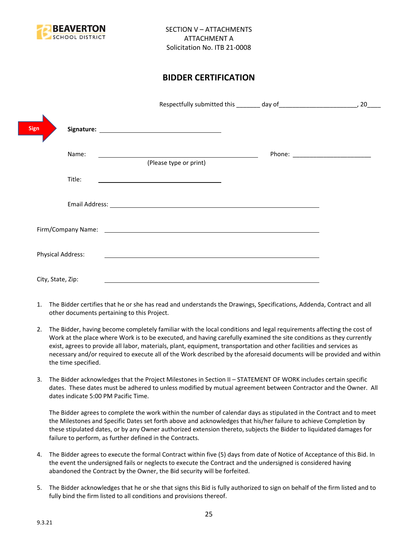

# **BIDDER CERTIFICATION**

|                          |                                                                                                                       | 20 |
|--------------------------|-----------------------------------------------------------------------------------------------------------------------|----|
| <b>Sign</b>              |                                                                                                                       |    |
| Name:                    | (Please type or print)                                                                                                |    |
| Title:                   | <u> 1989 - Johann Barbara, martin amerikan basal dan berasal dan berasal dalam basal dalam basal dalam basal dala</u> |    |
|                          |                                                                                                                       |    |
|                          | Firm/Company Name: 1999 and 2008 and 2009 and 2009 and 2009 and 2009 and 2009 and 2009 and 2009 and 2009 and 20       |    |
| <b>Physical Address:</b> |                                                                                                                       |    |
| City, State, Zip:        |                                                                                                                       |    |

- 1. The Bidder certifies that he or she has read and understands the Drawings, Specifications, Addenda, Contract and all other documents pertaining to this Project.
- 2. The Bidder, having become completely familiar with the local conditions and legal requirements affecting the cost of Work at the place where Work is to be executed, and having carefully examined the site conditions as they currently exist, agrees to provide all labor, materials, plant, equipment, transportation and other facilities and services as necessary and/or required to execute all of the Work described by the aforesaid documents will be provided and within the time specified.
- 3. The Bidder acknowledges that the Project Milestones in Section II STATEMENT OF WORK includes certain specific dates. These dates must be adhered to unless modified by mutual agreement between Contractor and the Owner. All dates indicate 5:00 PM Pacific Time.

The Bidder agrees to complete the work within the number of calendar days as stipulated in the Contract and to meet the Milestones and Specific Dates set forth above and acknowledges that his/her failure to achieve Completion by these stipulated dates, or by any Owner authorized extension thereto, subjects the Bidder to liquidated damages for failure to perform, as further defined in the Contracts.

- 4. The Bidder agrees to execute the formal Contract within five (5) days from date of Notice of Acceptance of this Bid. In the event the undersigned fails or neglects to execute the Contract and the undersigned is considered having abandoned the Contract by the Owner, the Bid security will be forfeited.
- 5. The Bidder acknowledges that he or she that signs this Bid is fully authorized to sign on behalf of the firm listed and to fully bind the firm listed to all conditions and provisions thereof.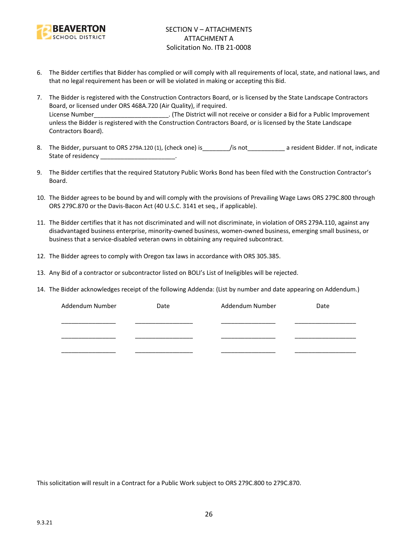

- 6. The Bidder certifies that Bidder has complied or will comply with all requirements of local, state, and national laws, and that no legal requirement has been or will be violated in making or accepting this Bid.
- 7. The Bidder is registered with the Construction Contractors Board, or is licensed by the State Landscape Contractors Board, or licensed under ORS 468A.720 (Air Quality), if required. License Number\_\_\_\_\_\_\_\_\_\_\_\_\_\_\_\_\_\_\_\_\_\_\_\_. (The District will not receive or consider a Bid for a Public Improvement unless the Bidder is registered with the Construction Contractors Board, or is licensed by the State Landscape Contractors Board).
- 8. The Bidder, pursuant to ORS 279A.120 (1), (check one) is figure is figure to a resident Bidder. If not, indicate State of residency \_\_\_\_\_\_\_\_\_\_\_\_\_\_\_\_\_\_\_\_\_\_\_.
- 9. The Bidder certifies that the required Statutory Public Works Bond has been filed with the Construction Contractor's Board.
- 10. The Bidder agrees to be bound by and will comply with the provisions of Prevailing Wage Laws ORS 279C.800 through ORS 279C.870 or the Davis-Bacon Act (40 U.S.C. 3141 et seq., if applicable).
- 11. The Bidder certifies that it has not discriminated and will not discriminate, in violation of ORS 279A.110, against any disadvantaged business enterprise, minority-owned business, women-owned business, emerging small business, or business that a service-disabled veteran owns in obtaining any required subcontract.
- 12. The Bidder agrees to comply with Oregon tax laws in accordance with ORS 305.385.
- 13. Any Bid of a contractor or subcontractor listed on BOLI's List of Ineligibles will be rejected.
- 14. The Bidder acknowledges receipt of the following Addenda: (List by number and date appearing on Addendum.)

| Addendum Number | Date | Addendum Number | Date |
|-----------------|------|-----------------|------|
|                 |      |                 |      |
|                 |      |                 |      |
|                 |      |                 |      |
|                 |      |                 |      |
|                 |      |                 |      |

This solicitation will result in a Contract for a Public Work subject to ORS 279C.800 to 279C.870.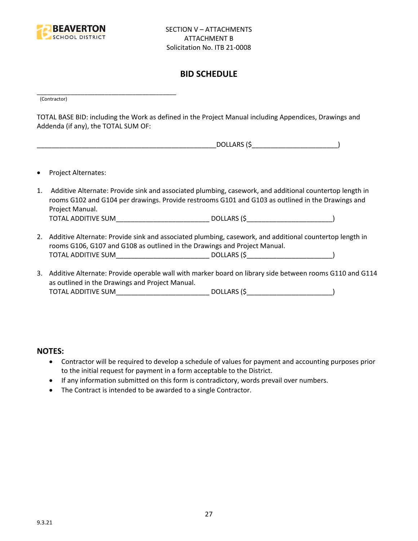

# **BID SCHEDULE**

\_\_\_\_\_\_\_\_\_\_\_\_\_\_\_\_\_\_\_\_\_\_\_\_\_\_\_\_\_\_\_\_\_\_\_\_\_\_\_\_\_ (Contractor)

TOTAL BASE BID: including the Work as defined in the Project Manual including Appendices, Drawings and Addenda (if any), the TOTAL SUM OF:

| DOLLARS (\$ |  |
|-------------|--|
|             |  |

- Project Alternates:
- 1. Additive Alternate: Provide sink and associated plumbing, casework, and additional countertop length in rooms G102 and G104 per drawings. Provide restrooms G101 and G103 as outlined in the Drawings and Project Manual. TOTAL ADDITIVE SUM\_\_\_\_\_\_\_\_\_\_\_\_\_\_\_\_\_\_\_\_\_\_\_\_\_ DOLLARS (\$\_\_\_\_\_\_\_\_\_\_\_\_\_\_\_\_\_\_\_\_\_\_\_)
- 2. Additive Alternate: Provide sink and associated plumbing, casework, and additional countertop length in rooms G106, G107 and G108 as outlined in the Drawings and Project Manual. TOTAL ADDITIVE SUM\_\_\_\_\_\_\_\_\_\_\_\_\_\_\_\_\_\_\_\_\_\_\_\_\_ DOLLARS (\$\_\_\_\_\_\_\_\_\_\_\_\_\_\_\_\_\_\_\_\_\_\_\_)
- 3. Additive Alternate: Provide operable wall with marker board on library side between rooms G110 and G114 as outlined in the Drawings and Project Manual. TOTAL ADDITIVE SUM\_\_\_\_\_\_\_\_\_\_\_\_\_\_\_\_\_\_\_\_\_\_\_\_\_ DOLLARS (\$\_\_\_\_\_\_\_\_\_\_\_\_\_\_\_\_\_\_\_\_\_\_\_)

#### **NOTES:**

- Contractor will be required to develop a schedule of values for payment and accounting purposes prior to the initial request for payment in a form acceptable to the District.
- If any information submitted on this form is contradictory, words prevail over numbers.
- The Contract is intended to be awarded to a single Contractor.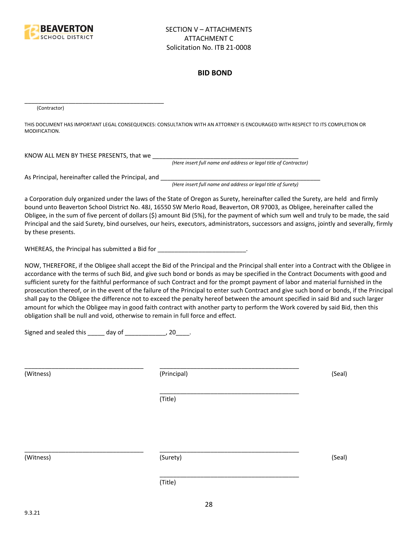

#### **BID BOND**

(Contractor)

THIS DOCUMENT HAS IMPORTANT LEGAL CONSEQUENCES: CONSULTATION WITH AN ATTORNEY IS ENCOURAGED WITH RESPECT TO ITS COMPLETION OR MODIFICATION.

KNOW ALL MEN BY THESE PRESENTS, that we \_\_\_\_\_\_\_\_\_\_\_\_\_\_\_\_\_\_\_\_\_\_\_\_\_\_\_\_\_\_\_\_\_\_\_\_\_\_\_\_\_\_\_

*(Here insert full name and address or legal title of Contractor)*

As Principal, hereinafter called the Principal, and \_\_\_\_\_\_\_\_\_\_\_\_\_\_\_\_\_\_\_\_\_\_\_\_\_\_\_\_

\_\_\_\_\_\_\_\_\_\_\_\_\_\_\_\_\_\_\_\_\_\_\_\_\_\_\_\_\_\_\_\_\_\_\_\_\_\_\_\_\_

*(Here insert full name and address or legal title of Surety)*

a Corporation duly organized under the laws of the State of Oregon as Surety, hereinafter called the Surety, are held and firmly bound unto Beaverton School District No. 48J, 16550 SW Merlo Road, Beaverton, OR 97003, as Obligee, hereinafter called the Obligee, in the sum of five percent of dollars (\$) amount Bid (5%), for the payment of which sum well and truly to be made, the said Principal and the said Surety, bind ourselves, our heirs, executors, administrators, successors and assigns, jointly and severally, firmly by these presents.

WHEREAS, the Principal has submitted a Bid for \_\_\_\_\_\_\_\_\_\_\_\_\_\_\_\_\_\_\_\_\_\_\_\_\_\_\_\_\_.

NOW, THEREFORE, if the Obligee shall accept the Bid of the Principal and the Principal shall enter into a Contract with the Obligee in accordance with the terms of such Bid, and give such bond or bonds as may be specified in the Contract Documents with good and sufficient surety for the faithful performance of such Contract and for the prompt payment of labor and material furnished in the prosecution thereof, or in the event of the failure of the Principal to enter such Contract and give such bond or bonds, if the Principal shall pay to the Obligee the difference not to exceed the penalty hereof between the amount specified in said Bid and such larger amount for which the Obligee may in good faith contract with another party to perform the Work covered by said Bid, then this obligation shall be null and void, otherwise to remain in full force and effect.

\_\_\_\_\_\_\_\_\_\_\_\_\_\_\_\_\_\_\_\_\_\_\_\_\_\_\_\_\_\_\_\_\_\_\_\_\_\_\_\_\_

\_\_\_\_\_\_\_\_\_\_\_\_\_\_\_\_\_\_\_\_\_\_\_\_\_\_\_\_\_\_\_\_\_\_\_\_\_\_\_\_\_

Signed and sealed this \_\_\_\_\_ day of \_\_\_\_\_\_\_\_\_\_\_\_, 20\_\_\_\_.

(Witness) (Principal) (Seal)

(Title)

\_\_\_\_\_\_\_\_\_\_\_\_\_\_\_\_\_\_\_\_\_\_\_\_\_\_\_\_\_\_\_\_\_\_\_ \_\_\_\_\_\_\_\_\_\_\_\_\_\_\_\_\_\_\_\_\_\_\_\_\_\_\_\_\_\_\_\_\_\_\_\_\_\_\_\_\_

(Witness) (Surety) (Seal)

(Title)

\_\_\_\_\_\_\_\_\_\_\_\_\_\_\_\_\_\_\_\_\_\_\_\_\_\_\_\_\_\_\_\_\_\_\_ \_\_\_\_\_\_\_\_\_\_\_\_\_\_\_\_\_\_\_\_\_\_\_\_\_\_\_\_\_\_\_\_\_\_\_\_\_\_\_\_\_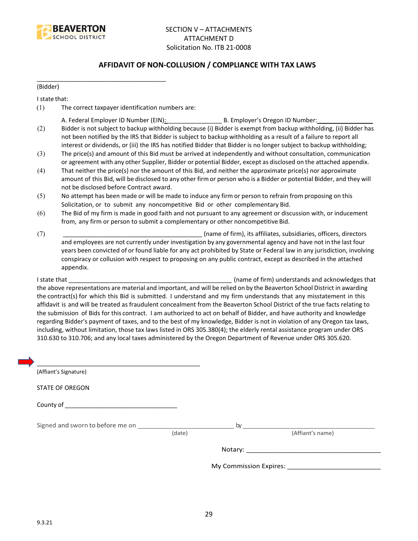

#### **AFFIDAVIT OF NON-COLLUSION / COMPLIANCE WITH TAX LAWS**

(Bidder)

I state that:

(1) The correct taxpayer identification numbers are:

\_\_\_\_\_\_\_\_\_\_\_\_\_\_\_\_\_\_\_\_\_\_\_\_\_\_\_\_\_\_\_\_\_\_\_\_\_\_

- A. Federal Employer ID Number (EIN): \_\_\_\_\_\_\_\_\_\_\_\_\_\_\_\_ B. Employer's Oregon ID Number: \_\_\_\_\_\_\_\_\_\_\_\_\_\_\_\_
- (2) Bidder is not subject to backup withholding because (i) Bidder is exempt from backup withholding, (ii) Bidder has not been notified by the IRS that Bidder is subject to backup withholding as a result of a failure to report all interest or dividends, or (iii) the IRS has notified Bidder that Bidder is no longer subject to backup withholding;
- (3) The price(s) and amount of this Bid must be arrived at independently and without consultation, communication or agreement with any other Supplier, Bidder or potential Bidder, except as disclosed on the attached appendix.
- (4) That neither the price(s) nor the amount of this Bid, and neither the approximate price(s) nor approximate amount of this Bid, will be disclosed to any other firm or person who is a Bidder or potential Bidder, and they will not be disclosed before Contract award.
- (5) No attempt has been made or will be made to induce any firm or person to refrain from proposing on this Solicitation, or to submit any noncompetitive Bid or other complementary Bid.
- (6) The Bid of my firm is made in good faith and not pursuant to any agreement or discussion with, or inducement from, any firm or person to submit a complementary or other noncompetitive Bid.
- (7) \_\_\_\_\_\_\_\_\_\_\_\_\_\_\_\_\_\_\_\_\_\_\_\_\_\_\_\_\_\_\_\_\_\_\_\_\_\_\_\_\_ (name of firm), its affiliates, subsidiaries, officers, directors and employees are not currently under investigation by any governmental agency and have not in the last four years been convicted of or found liable for any act prohibited by State or Federal law in any jurisdiction, involving conspiracy or collusion with respect to proposing on any public contract, except as described in the attached appendix.

I state that **I state that**  $\blacksquare$  (name of firm) understands and acknowledges that the above representations are material and important, and will be relied on by the Beaverton School District in awarding the contract(s) for which this Bid is submitted. I understand and my firm understands that any misstatement in this affidavit is and will be treated as fraudulent concealment from the Beaverton School District of the true facts relating to the submission of Bids for this contract. I am authorized to act on behalf of Bidder, and have authority and knowledge regarding Bidder's payment of taxes, and to the best of my knowledge, Bidder is not in violation of any Oregon tax laws, including, without limitation, those tax laws listed in ORS 305.380(4); the elderly rental assistance program under ORS 310.630 to 310.706; and any local taxes administered by the Oregon Department of Revenue under ORS 305.620.

| (Affiant's Signature)  |        |                                   |
|------------------------|--------|-----------------------------------|
| <b>STATE OF OREGON</b> |        |                                   |
|                        |        |                                   |
|                        | (date) | $\mathsf{by}$<br>(Affiant's name) |
|                        |        |                                   |
|                        |        |                                   |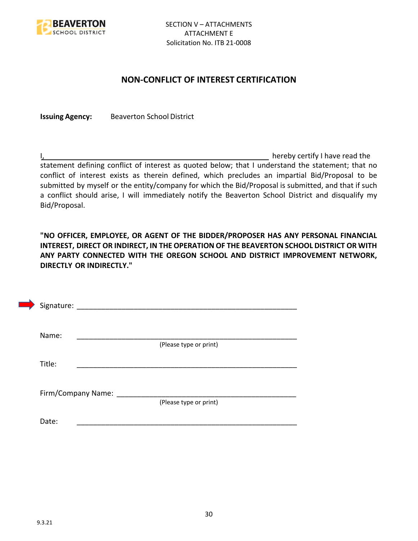

## **NON-CONFLICT OF INTEREST CERTIFICATION**

**Issuing Agency:** Beaverton School District

I, the contract of the contract of the contract of the contract of the hereby certify I have read the statement defining conflict of interest as quoted below; that I understand the statement; that no conflict of interest exists as therein defined, which precludes an impartial Bid/Proposal to be submitted by myself or the entity/company for which the Bid/Proposal is submitted, and that if such a conflict should arise, I will immediately notify the Beaverton School District and disqualify my Bid/Proposal.

**"NO OFFICER, EMPLOYEE, OR AGENT OF THE BIDDER/PROPOSER HAS ANY PERSONAL FINANCIAL INTEREST, DIRECT OR INDIRECT, IN THE OPERATION OF THE BEAVERTON SCHOOL DISTRICT OR WITH ANY PARTY CONNECTED WITH THE OREGON SCHOOL AND DISTRICT IMPROVEMENT NETWORK, DIRECTLY OR INDIRECTLY."**

| Signature: _ |                    |                        |  |
|--------------|--------------------|------------------------|--|
| Name:        |                    |                        |  |
| Title:       |                    | (Please type or print) |  |
|              |                    |                        |  |
|              | Firm/Company Name: | (Please type or print) |  |
| Date:        |                    |                        |  |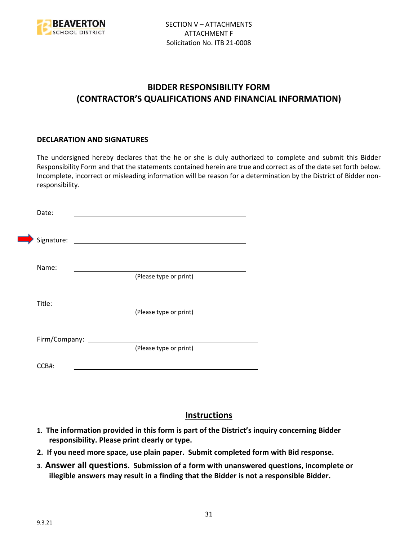

# **BIDDER RESPONSIBILITY FORM (CONTRACTOR'S QUALIFICATIONS AND FINANCIAL INFORMATION)**

#### **DECLARATION AND SIGNATURES**

The undersigned hereby declares that the he or she is duly authorized to complete and submit this Bidder Responsibility Form and that the statements contained herein are true and correct as of the date set forth below. Incomplete, incorrect or misleading information will be reason for a determination by the District of Bidder nonresponsibility.

| Date:               |                        |  |
|---------------------|------------------------|--|
| Signature:          |                        |  |
| Name:               | (Please type or print) |  |
| Title:              |                        |  |
|                     | (Please type or print) |  |
| Firm/Company: _____ | (Please type or print) |  |
| CCB#:               |                        |  |

# **Instructions**

- **1. The information provided in this form is part of the District's inquiry concerning Bidder responsibility. Please print clearly or type.**
- **2. If you need more space, use plain paper. Submit completed form with Bid response.**
- **3. Answer all questions. Submission of a form with unanswered questions, incomplete or illegible answers may result in a finding that the Bidder is not a responsible Bidder.**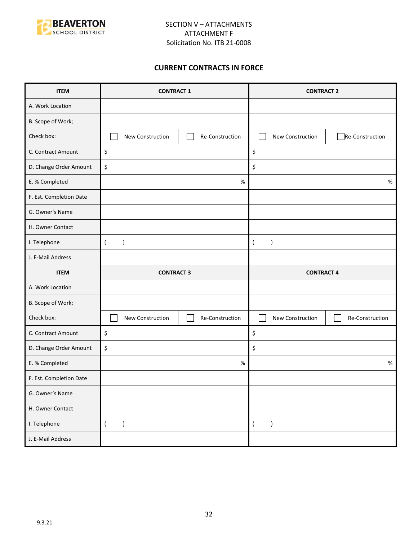

#### **CURRENT CONTRACTS IN FORCE**

| <b>ITEM</b>             | <b>CONTRACT 1</b>               |                 | <b>CONTRACT 2</b>                 |                 |
|-------------------------|---------------------------------|-----------------|-----------------------------------|-----------------|
| A. Work Location        |                                 |                 |                                   |                 |
| B. Scope of Work;       |                                 |                 |                                   |                 |
| Check box:              | New Construction                | Re-Construction | New Construction                  | Re-Construction |
| C. Contract Amount      | \$                              |                 | \$                                |                 |
| D. Change Order Amount  | \$                              |                 | \$                                |                 |
| E. % Completed          |                                 | $\%$            |                                   | $\%$            |
| F. Est. Completion Date |                                 |                 |                                   |                 |
| G. Owner's Name         |                                 |                 |                                   |                 |
| H. Owner Contact        |                                 |                 |                                   |                 |
| I. Telephone            | $\overline{ }$<br>$\mathcal{E}$ |                 | $\lambda$<br>$\overline{(}$       |                 |
| J. E-Mail Address       |                                 |                 |                                   |                 |
|                         |                                 |                 |                                   |                 |
| <b>ITEM</b>             | <b>CONTRACT 3</b>               |                 | <b>CONTRACT 4</b>                 |                 |
| A. Work Location        |                                 |                 |                                   |                 |
| B. Scope of Work;       |                                 |                 |                                   |                 |
| Check box:              | New Construction                | Re-Construction | New Construction                  | Re-Construction |
| C. Contract Amount      | \$                              |                 | \$                                |                 |
| D. Change Order Amount  | \$                              |                 | \$                                |                 |
| E. % Completed          |                                 | %               |                                   | $\%$            |
| F. Est. Completion Date |                                 |                 |                                   |                 |
| G. Owner's Name         |                                 |                 |                                   |                 |
| H. Owner Contact        |                                 |                 |                                   |                 |
| I. Telephone            | $\overline{(\ }$<br>$\lambda$   |                 | $\overline{(\ }$<br>$\rightarrow$ |                 |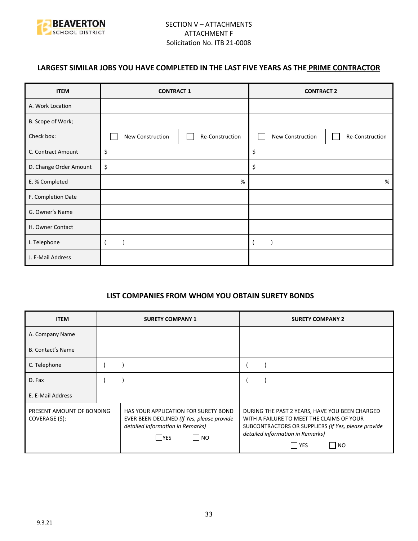

## **LARGEST SIMILAR JOBS YOU HAVE COMPLETED IN THE LAST FIVE YEARS AS THE PRIME CONTRACTOR**

| <b>ITEM</b>            | <b>CONTRACT 1</b> |                 | <b>CONTRACT 2</b> |                 |
|------------------------|-------------------|-----------------|-------------------|-----------------|
| A. Work Location       |                   |                 |                   |                 |
| B. Scope of Work;      |                   |                 |                   |                 |
| Check box:             | New Construction  | Re-Construction | New Construction  | Re-Construction |
| C. Contract Amount     | \$                |                 | \$                |                 |
| D. Change Order Amount | \$                |                 | \$                |                 |
| E. % Completed         | $\%$              |                 |                   | %               |
| F. Completion Date     |                   |                 |                   |                 |
| G. Owner's Name        |                   |                 |                   |                 |
| H. Owner Contact       |                   |                 |                   |                 |
| I. Telephone           |                   |                 |                   |                 |
| J. E-Mail Address      |                   |                 |                   |                 |

#### **LIST COMPANIES FROM WHOM YOU OBTAIN SURETY BONDS**

| <b>ITEM</b>                                 | <b>SURETY COMPANY 1</b>                                                                                                                | <b>SURETY COMPANY 2</b>                                                                                                                                                                                 |
|---------------------------------------------|----------------------------------------------------------------------------------------------------------------------------------------|---------------------------------------------------------------------------------------------------------------------------------------------------------------------------------------------------------|
| A. Company Name                             |                                                                                                                                        |                                                                                                                                                                                                         |
| <b>B. Contact's Name</b>                    |                                                                                                                                        |                                                                                                                                                                                                         |
| C. Telephone                                |                                                                                                                                        |                                                                                                                                                                                                         |
| D. Fax                                      |                                                                                                                                        |                                                                                                                                                                                                         |
| E. E-Mail Address                           |                                                                                                                                        |                                                                                                                                                                                                         |
| PRESENT AMOUNT OF BONDING<br>COVERAGE (\$): | HAS YOUR APPLICATION FOR SURETY BOND<br>EVER BEEN DECLINED (If Yes, please provide<br>detailed information in Remarks)<br>  NO<br> YES | DURING THE PAST 2 YEARS, HAVE YOU BEEN CHARGED<br>WITH A FAILURE TO MEET THE CLAIMS OF YOUR<br>SUBCONTRACTORS OR SUPPLIERS (If Yes, please provide<br>detailed information in Remarks)<br>l YES<br>I NO |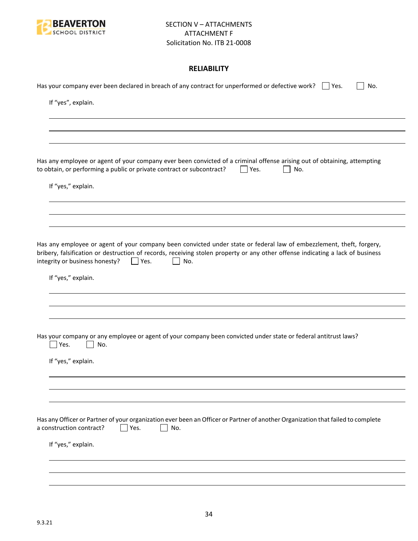

#### **RELIABILITY**

| Has your company ever been declared in breach of any contract for unperformed or defective work? $\Box$ Yes.<br>No.                                                                                                                                                                                           |
|---------------------------------------------------------------------------------------------------------------------------------------------------------------------------------------------------------------------------------------------------------------------------------------------------------------|
| If "yes", explain.                                                                                                                                                                                                                                                                                            |
|                                                                                                                                                                                                                                                                                                               |
|                                                                                                                                                                                                                                                                                                               |
| Has any employee or agent of your company ever been convicted of a criminal offense arising out of obtaining, attempting<br>to obtain, or performing a public or private contract or subcontract?<br>Yes.<br>No.                                                                                              |
| If "yes," explain.                                                                                                                                                                                                                                                                                            |
|                                                                                                                                                                                                                                                                                                               |
|                                                                                                                                                                                                                                                                                                               |
| Has any employee or agent of your company been convicted under state or federal law of embezzlement, theft, forgery,<br>bribery, falsification or destruction of records, receiving stolen property or any other offense indicating a lack of business<br>integrity or business honesty?<br>$ $   Yes.<br>No. |
| If "yes," explain.                                                                                                                                                                                                                                                                                            |
|                                                                                                                                                                                                                                                                                                               |
|                                                                                                                                                                                                                                                                                                               |
| Has your company or any employee or agent of your company been convicted under state or federal antitrust laws?<br>Yes.<br>No.                                                                                                                                                                                |
| If "yes," explain.                                                                                                                                                                                                                                                                                            |
|                                                                                                                                                                                                                                                                                                               |
|                                                                                                                                                                                                                                                                                                               |
| Has any Officer or Partner of your organization ever been an Officer or Partner of another Organization that failed to complete<br>a construction contract?<br>Yes.<br>No.                                                                                                                                    |
| If "yes," explain.                                                                                                                                                                                                                                                                                            |
|                                                                                                                                                                                                                                                                                                               |
|                                                                                                                                                                                                                                                                                                               |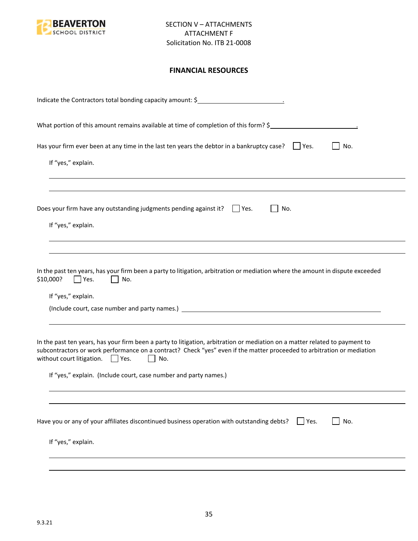

#### **FINANCIAL RESOURCES**

| Indicate the Contractors total bonding capacity amount: \$                                                                                                                                                                                                                                                                                                                                |
|-------------------------------------------------------------------------------------------------------------------------------------------------------------------------------------------------------------------------------------------------------------------------------------------------------------------------------------------------------------------------------------------|
| What portion of this amount remains available at time of completion of this form? \$                                                                                                                                                                                                                                                                                                      |
| Has your firm ever been at any time in the last ten years the debtor in a bankruptcy case? $\Box$ Yes.<br>No.                                                                                                                                                                                                                                                                             |
| If "yes," explain.                                                                                                                                                                                                                                                                                                                                                                        |
| Does your firm have any outstanding judgments pending against it? $\Box$ Yes.<br>No.                                                                                                                                                                                                                                                                                                      |
| If "yes," explain.                                                                                                                                                                                                                                                                                                                                                                        |
| In the past ten years, has your firm been a party to litigation, arbitration or mediation where the amount in dispute exceeded<br>\$10,000?<br>Yes.<br>No.<br>If "yes," explain.                                                                                                                                                                                                          |
| In the past ten years, has your firm been a party to litigation, arbitration or mediation on a matter related to payment to<br>subcontractors or work performance on a contract? Check "yes" even if the matter proceeded to arbitration or mediation<br>without court litigation. $\Box$ Yes.<br>$\mathbf{L}$<br>No.<br>If "yes," explain. (Include court, case number and party names.) |
|                                                                                                                                                                                                                                                                                                                                                                                           |
| Have you or any of your affiliates discontinued business operation with outstanding debts?<br>No.<br>$ $ Yes.                                                                                                                                                                                                                                                                             |
| If "yes," explain.                                                                                                                                                                                                                                                                                                                                                                        |
|                                                                                                                                                                                                                                                                                                                                                                                           |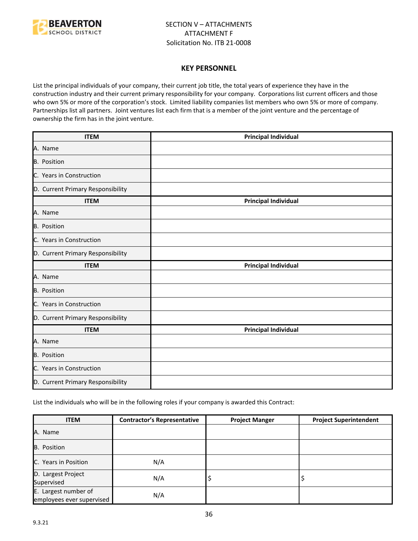

#### **KEY PERSONNEL**

List the principal individuals of your company, their current job title, the total years of experience they have in the construction industry and their current primary responsibility for your company. Corporations list current officers and those who own 5% or more of the corporation's stock. Limited liability companies list members who own 5% or more of company. Partnerships list all partners. Joint ventures list each firm that is a member of the joint venture and the percentage of ownership the firm has in the joint venture.

| <b>ITEM</b>                       | <b>Principal Individual</b> |
|-----------------------------------|-----------------------------|
| A. Name                           |                             |
| <b>B.</b> Position                |                             |
| C. Years in Construction          |                             |
| D. Current Primary Responsibility |                             |
| <b>ITEM</b>                       | <b>Principal Individual</b> |
| A. Name                           |                             |
| <b>B.</b> Position                |                             |
| C. Years in Construction          |                             |
| D. Current Primary Responsibility |                             |
| <b>ITEM</b>                       | <b>Principal Individual</b> |
| A. Name                           |                             |
| <b>B.</b> Position                |                             |
| C. Years in Construction          |                             |
| D. Current Primary Responsibility |                             |
| <b>ITEM</b>                       | <b>Principal Individual</b> |
| A. Name                           |                             |
| <b>B.</b> Position                |                             |
| C. Years in Construction          |                             |
| D. Current Primary Responsibility |                             |

List the individuals who will be in the following roles if your company is awarded this Contract:

| <b>ITEM</b>                                       | <b>Contractor's Representative</b> | <b>Project Manger</b> | <b>Project Superintendent</b> |
|---------------------------------------------------|------------------------------------|-----------------------|-------------------------------|
| A. Name                                           |                                    |                       |                               |
| B. Position                                       |                                    |                       |                               |
| <b>IC.</b> Years in Position                      | N/A                                |                       |                               |
| D. Largest Project<br>Supervised                  | N/A                                | ∍                     |                               |
| E. Largest number of<br>employees ever supervised | N/A                                |                       |                               |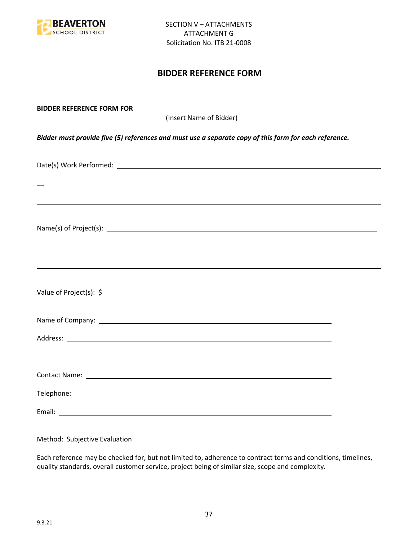

## **BIDDER REFERENCE FORM**

| (Insert Name of Bidder)                                                                               |  |
|-------------------------------------------------------------------------------------------------------|--|
| Bidder must provide five (5) references and must use a separate copy of this form for each reference. |  |
|                                                                                                       |  |
| ,我们也不会有什么。""我们的人,我们也不会有什么?""我们的人,我们也不会有什么?""我们的人,我们也不会有什么?""我们的人,我们也不会有什么?""我们的人                      |  |
|                                                                                                       |  |
| ,我们也不能会有一个人的事情。""我们的人,我们也不能会有一个人的人,我们也不能会有一个人的人,我们也不能会有一个人的人,我们也不能会有一个人的人,我们也不能会                      |  |
|                                                                                                       |  |
|                                                                                                       |  |
|                                                                                                       |  |
|                                                                                                       |  |
|                                                                                                       |  |
|                                                                                                       |  |

Method: Subjective Evaluation

Each reference may be checked for, but not limited to, adherence to contract terms and conditions, timelines, quality standards, overall customer service, project being of similar size, scope and complexity.